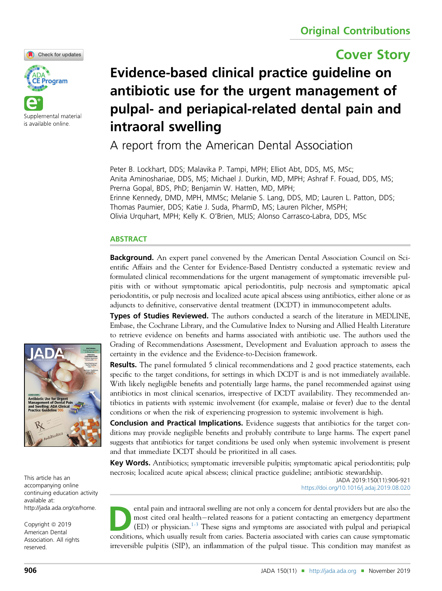

# Cover Story



# Evidence-based clinical practice guideline on antibiotic use for the urgent management of pulpal- and periapical-related dental pain and intraoral swelling

A report from the American Dental Association

Peter B. Lockhart, DDS; Malavika P. Tampi, MPH; Elliot Abt, DDS, MS, MSc; Anita Aminoshariae, DDS, MS; Michael J. Durkin, MD, MPH; Ashraf F. Fouad, DDS, MS; Prerna Gopal, BDS, PhD; Benjamin W. Hatten, MD, MPH; Erinne Kennedy, DMD, MPH, MMSc; Melanie S. Lang, DDS, MD; Lauren L. Patton, DDS; Thomas Paumier, DDS; Katie J. Suda, PharmD, MS; Lauren Pilcher, MSPH; Olivia Urquhart, MPH; Kelly K. O'Brien, MLIS; Alonso Carrasco-Labra, DDS, MSc

# **ABSTRACT**

**Background.** An expert panel convened by the American Dental Association Council on Scientific Affairs and the Center for Evidence-Based Dentistry conducted a systematic review and formulated clinical recommendations for the urgent management of symptomatic irreversible pulpitis with or without symptomatic apical periodontitis, pulp necrosis and symptomatic apical periodontitis, or pulp necrosis and localized acute apical abscess using antibiotics, either alone or as adjuncts to definitive, conservative dental treatment (DCDT) in immunocompetent adults.

Types of Studies Reviewed. The authors conducted a search of the literature in MEDLINE, Embase, the Cochrane Library, and the Cumulative Index to Nursing and Allied Health Literature to retrieve evidence on benefits and harms associated with antibiotic use. The authors used the Grading of Recommendations Assessment, Development and Evaluation approach to assess the certainty in the evidence and the Evidence-to-Decision framework.

**Results.** The panel formulated 5 clinical recommendations and 2 good practice statements, each specific to the target conditions, for settings in which DCDT is and is not immediately available. With likely negligible benefits and potentially large harms, the panel recommended against using antibiotics in most clinical scenarios, irrespective of DCDT availability. They recommended antibiotics in patients with systemic involvement (for example, malaise or fever) due to the dental conditions or when the risk of experiencing progression to systemic involvement is high.

**Conclusion and Practical Implications.** Evidence suggests that antibiotics for the target conditions may provide negligible benefits and probably contribute to large harms. The expert panel suggests that antibiotics for target conditions be used only when systemic involvement is present and that immediate DCDT should be prioritized in all cases.

Key Words. Antibiotics; symptomatic irreversible pulpitis; symptomatic apical periodontitis; pulp necrosis; localized acute apical abscess; clinical practice guideline; antibiotic stewardship.

> JADA 2019:150(11):906-921 <https://doi.org/10.1016/j.adaj.2019.08.020>

ental pain and intraoral swelling are not only a concern for dental providers but are also the<br>most cited oral health–related reasons for a patient contacting an emergency department<br>(ED) or physician.<sup>1-3</sup> These signs and most cited oral health-related reasons for a patient contacting an emergency department  $(ED)$  or physician.<sup>[1-3](#page-14-0)</sup> These signs and symptoms are associated with pulpal and periapical conditions, which usually result from caries. Bacteria associated with caries can cause symptomatic irreversible pulpitis (SIP), an inflammation of the pulpal tissue. This condition may manifest as



This article has an accompanying online continuing education activity available at: http://jada.ada.org/ce/home.

Copyright © 2019 American Dental Association. All rights reserved.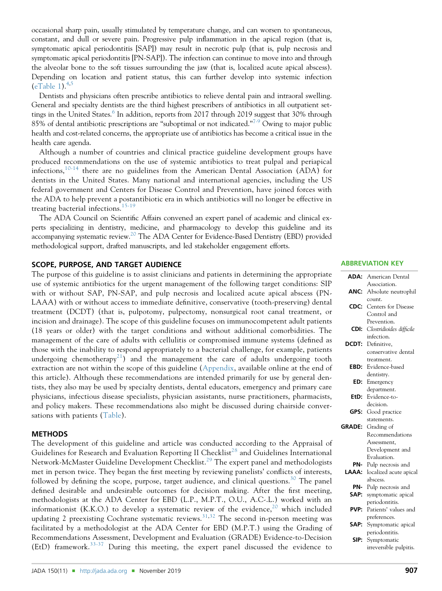occasional sharp pain, usually stimulated by temperature change, and can worsen to spontaneous, constant, and dull or severe pain. Progressive pulp inflammation in the apical region (that is, symptomatic apical periodontitis [SAP]) may result in necrotic pulp (that is, pulp necrosis and symptomatic apical periodontitis [PN-SAP]). The infection can continue to move into and through the alveolar bone to the soft tissues surrounding the jaw (that is, localized acute apical abscess). Depending on location and patient status, this can further develop into systemic infection  $(eTable 1).$  $(eTable 1).$  $(eTable 1).$ <sup>[4,5](#page-14-0)</sup>

Dentists and physicians often prescribe antibiotics to relieve dental pain and intraoral swelling. General and specialty dentists are the third highest prescribers of antibiotics in all outpatient set-tings in the United States.<sup>[6](#page-14-0)</sup> In addition, reports from 2017 through 2019 suggest that 30% through 85% of dental antibiotic prescriptions are "suboptimal or not indicated."<sup>[7-9](#page-14-0)</sup> Owing to major public health and cost-related concerns, the appropriate use of antibiotics has become a critical issue in the health care agenda.

Although a number of countries and clinical practice guideline development groups have produced recommendations on the use of systemic antibiotics to treat pulpal and periapical infections,  $10-14$  there are no guidelines from the American Dental Association (ADA) for dentists in the United States. Many national and international agencies, including the US federal government and Centers for Disease Control and Prevention, have joined forces with the ADA to help prevent a postantibiotic era in which antibiotics will no longer be effective in treating bacterial infections.<sup>[15-19](#page-14-0)</sup>

The ADA Council on Scientific Affairs convened an expert panel of academic and clinical experts specializing in dentistry, medicine, and pharmacology to develop this guideline and its accompanying systematic review.<sup>[20](#page-14-0)</sup> The ADA Center for Evidence-Based Dentistry (EBD) provided methodological support, drafted manuscripts, and led stakeholder engagement efforts.

#### SCOPE, PURPOSE, AND TARGET AUDIENCE

The purpose of this guideline is to assist clinicians and patients in determining the appropriate use of systemic antibiotics for the urgent management of the following target conditions: SIP with or without SAP, PN-SAP, and pulp necrosis and localized acute apical abscess (PN-LAAA) with or without access to immediate definitive, conservative (tooth-preserving) dental treatment (DCDT) (that is, pulpotomy, pulpectomy, nonsurgical root canal treatment, or incision and drainage). The scope of this guideline focuses on immunocompetent adult patients (18 years or older) with the target conditions and without additional comorbidities. The management of the care of adults with cellulitis or compromised immune systems (defined as those with the inability to respond appropriately to a bacterial challenge, for example, patients undergoing chemotherapy<sup>[21](#page-14-0)</sup>) and the management the care of adults undergoing tooth extraction are not within the scope of this guideline ([Appendix,](#page-16-0) available online at the end of this article). Although these recommendations are intended primarily for use by general dentists, they also may be used by specialty dentists, dental educators, emergency and primary care physicians, infectious disease specialists, physician assistants, nurse practitioners, pharmacists, and policy makers. These recommendations also might be discussed during chairside conversations with patients [\(Table\)](#page-2-0).

## METHODS

The development of this guideline and article was conducted according to the Appraisal of Guidelines for Research and Evaluation Reporting II Checklist<sup>[28](#page-14-0)</sup> and Guidelines International Network-McMaster Guideline Development Checklist.<sup>[29](#page-15-0)</sup> The expert panel and methodologists met in person twice. They began the first meeting by reviewing panelists' conflicts of interests, followed by defining the scope, purpose, target audience, and clinical questions. $30$  The panel defined desirable and undesirable outcomes for decision making. After the first meeting, methodologists at the ADA Center for EBD (L.P., M.P.T., O.U., A.C-.L.) worked with an informationist (K.K.O.) to develop a systematic review of the evidence,<sup>[20](#page-14-0)</sup> which included updating 2 preexisting Cochrane systematic reviews.<sup>[31,32](#page-15-0)</sup> The second in-person meeting was facilitated by a methodologist at the ADA Center for EBD (M.P.T.) using the Grading of Recommendations Assessment, Development and Evaluation (GRADE) Evidence-to-Decision (EtD) framework.<sup>[33-37](#page-15-0)</sup> During this meeting, the expert panel discussed the evidence to

#### ABBREVIATION KEY

| ADA:          | American Dental          |  |  |  |
|---------------|--------------------------|--|--|--|
|               | Association.             |  |  |  |
| ANC:          | Absolute neutrophil      |  |  |  |
|               | count.                   |  |  |  |
| CDC:          | Centers for Disease      |  |  |  |
|               | Control and              |  |  |  |
|               | Prevention.              |  |  |  |
| CDI:          | Clostridioides difficile |  |  |  |
|               | infection.               |  |  |  |
| <b>DCDT:</b>  | Definitive.              |  |  |  |
|               | conservative dental      |  |  |  |
|               | treatment.               |  |  |  |
| EBD:          | Evidence-based           |  |  |  |
|               | dentistry.               |  |  |  |
| ED:           | Emergency                |  |  |  |
|               | department.              |  |  |  |
| EtD:          | Evidence-to-             |  |  |  |
|               | decision.                |  |  |  |
| GPS:          | Good practice            |  |  |  |
|               | statements.              |  |  |  |
| <b>GRADE:</b> | Grading of               |  |  |  |
|               | Recommendations          |  |  |  |
|               | Assessment,              |  |  |  |
|               | Development and          |  |  |  |
|               | Evaluation.              |  |  |  |
| PN-           | Pulp necrosis and        |  |  |  |
| LAAA:         | localized acute apical   |  |  |  |
|               | abscess.                 |  |  |  |
| PN-           | Pulp necrosis and        |  |  |  |
| SAP:          | symptomatic apical       |  |  |  |
|               | periodontitis.           |  |  |  |
| PVP:          | Patients' values and     |  |  |  |
|               | preferences.             |  |  |  |
| SAP:          | Symptomatic apical       |  |  |  |
|               | periodontitis.           |  |  |  |
| SIP:          | Symptomatic              |  |  |  |
|               | irreversible pulpitis.   |  |  |  |
|               |                          |  |  |  |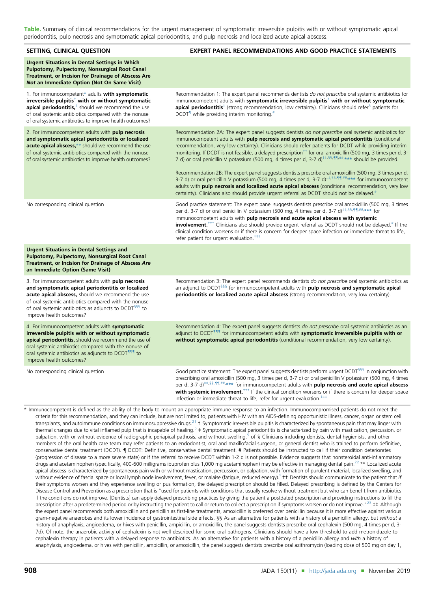<span id="page-2-0"></span>Table. Summary of clinical recommendations for the urgent management of symptomatic irreversible pulpitis with or without symptomatic apical periodontitis, pulp necrosis and symptomatic apical periodontitis, and pulp necrosis and localized acute apical abscess.

| SETTING, CLINICAL QUESTION                                                                                                                                                                                                                                                                                            | <b>EXPERT PANEL RECOMMENDATIONS AND GOOD PRACTICE STATEMENTS</b>                                                                                                                                                                                                                                                                                                                                                                                                                                                                                                                                                                                                                                                                                                                                                                                                                                                                                                                                                   |
|-----------------------------------------------------------------------------------------------------------------------------------------------------------------------------------------------------------------------------------------------------------------------------------------------------------------------|--------------------------------------------------------------------------------------------------------------------------------------------------------------------------------------------------------------------------------------------------------------------------------------------------------------------------------------------------------------------------------------------------------------------------------------------------------------------------------------------------------------------------------------------------------------------------------------------------------------------------------------------------------------------------------------------------------------------------------------------------------------------------------------------------------------------------------------------------------------------------------------------------------------------------------------------------------------------------------------------------------------------|
| <b>Urgent Situations in Dental Settings in Which</b><br>Pulpotomy, Pulpectomy, Nonsurgical Root Canal<br>Treatment, or Incision for Drainage of Abscess Are<br>Not an Immediate Option (Not On Same Visit)                                                                                                            |                                                                                                                                                                                                                                                                                                                                                                                                                                                                                                                                                                                                                                                                                                                                                                                                                                                                                                                                                                                                                    |
| 1. For immunocompetent* adults with symptomatic<br>irreversible pulpitis <sup>†</sup> with or without symptomatic<br>apical periodontitis, <sup>+</sup> should we recommend the use<br>of oral systemic antibiotics compared with the nonuse<br>of oral systemic antibiotics to improve health outcomes?              | Recommendation 1: The expert panel recommends dentists do not prescribe oral systemic antibiotics for<br>immunocompetent adults with symptomatic irreversible pulpitis <sup>†</sup> with or without symptomatic<br><b>apical periodontitis</b> <sup>*</sup> (strong recommendation, low certainty). Clinicians should refer <sup>§</sup> patients for<br>DCDT <sup>1</sup> while providing interim monitoring. <sup>#</sup>                                                                                                                                                                                                                                                                                                                                                                                                                                                                                                                                                                                        |
| 2. For immunocompetent adults with pulp necrosis<br>and symptomatic apical periodontitis or localized<br>acute apical abscess,** should we recommend the use<br>of oral systemic antibiotics compared with the nonuse<br>of oral systemic antibiotics to improve health outcomes?                                     | Recommendation 2A: The expert panel suggests dentists do not prescribe oral systemic antibiotics for<br>immunocompetent adults with pulp necrosis and symptomatic apical periodontitis (conditional<br>recommendation, very low certainty). Clinicians should refer patients for DCDT while providing interim<br>monitoring. If DCDT is not feasible, a delayed prescription <sup>++</sup> for oral amoxicillin (500 mg, 3 times per d, 3-<br>7 d) or oral penicillin V potassium (500 mg, 4 times per d, 3-7 d) <sup>++,55,¶¶,##</sup> *** should be provided.<br>Recommendation 2B: The expert panel suggests dentists prescribe oral amoxicillin (500 mg, 3 times per d,<br>3-7 d) or oral penicillin V potassium (500 mg, 4 times per d, 3-7 d) <sup>++,55,¶¶,##</sup> *** for immunocompetent<br>adults with pulp necrosis and localized acute apical abscess (conditional recommendation, very low<br>certainty). Clinicians also should provide urgent referral as DCDT should not be delayed. <sup>#</sup> |
| No corresponding clinical question                                                                                                                                                                                                                                                                                    | Good practice statement: The expert panel suggests dentists prescribe oral amoxicillin (500 mg, 3 times<br>per d, 3-7 d) or oral penicillin V potassium (500 mg, 4 times per d, 3-7 d) <sup>++,§§,¶¶,##</sup> *** for<br>immunocompetent adults with pulp necrosis and acute apical abscess with systemic<br><b>involvement.</b> <sup>†††</sup> Clinicians also should provide urgent referral as DCDT should not be delayed. <sup>#</sup> If the<br>clinical condition worsens or if there is concern for deeper space infection or immediate threat to life,<br>refer patient for urgent evaluation. <sup>###</sup>                                                                                                                                                                                                                                                                                                                                                                                              |
| <b>Urgent Situations in Dental Settings and</b><br>Pulpotomy, Pulpectomy, Nonsurgical Root Canal<br>Treatment, or Incision for Drainage of Abscess Are<br>an Immediate Option (Same Visit)                                                                                                                            |                                                                                                                                                                                                                                                                                                                                                                                                                                                                                                                                                                                                                                                                                                                                                                                                                                                                                                                                                                                                                    |
| 3. For immunocompetent adults with pulp necrosis<br>and symptomatic apical periodontitis or localized<br>acute apical abscess, should we recommend the use<br>of oral systemic antibiotics compared with the nonuse<br>of oral systemic antibiotics as adjuncts to DCDT <sup>555</sup> to<br>improve health outcomes? | Recommendation 3: The expert panel recommends dentists do not prescribe oral systemic antibiotics as<br>an adjunct to DCDT <sup>555</sup> for immunocompetent adults with <b>pulp necrosis and symptomatic apical</b><br>periodontitis or localized acute apical abscess (strong recommendation, very low certainty).                                                                                                                                                                                                                                                                                                                                                                                                                                                                                                                                                                                                                                                                                              |
| 4. For immunocompetent adults with symptomatic<br>irreversible pulpitis with or without symptomatic<br>apical periodontitis, should we recommend the use of<br>oral systemic antibiotics compared with the nonuse of<br>oral systemic antibiotics as adjuncts to DCDT <sup>111</sup> to<br>improve health outcomes?   | Recommendation 4: The expert panel suggests dentists do not prescribe oral systemic antibiotics as an<br>adjunct to DCDT <sup>111</sup> for immunocompetent adults with symptomatic irreversible pulpitis with or<br>without symptomatic apical periodontitis (conditional recommendation, very low certainty).                                                                                                                                                                                                                                                                                                                                                                                                                                                                                                                                                                                                                                                                                                    |
| No corresponding clinical question                                                                                                                                                                                                                                                                                    | Good practice statement: The expert panel suggests dentists perform urgent DCDT <sup>§§§</sup> in conjunction with<br>prescribing oral amoxicillin (500 mg, 3 times per d, 3-7 d) or oral penicillin V potassium (500 mg, 4 times<br>per d, 3-7 $d$ <sup>++,§§,¶¶,##</sup> ,*** for immunocompetent adults with <b>pulp necrosis and acute apical abscess</b><br>with systemic involvement. <sup>+++</sup> If the clinical condition worsens or if there is concern for deeper space<br>infection or immediate threat to life, refer for urgent evaluation. <sup>###</sup>                                                                                                                                                                                                                                                                                                                                                                                                                                         |
|                                                                                                                                                                                                                                                                                                                       | * Immunocompetent is defined as the ability of the body to mount an appropriate immune response to an infection. Immunocompromised patients do not meet the<br>criteria for this recommendation, and they can include, but are not limited to, patients with HIV with an AIDS-defining opportunistic illness, cancer, organ or stem cell<br>transplants, and autoimmune conditions on immunosuppressive drugs. <sup>21</sup> $\pm$ Symptomatic irreversible pulpitis is characterized by spontaneous pain that may linger with                                                                                                                                                                                                                                                                                                                                                                                                                                                                                     |

thermal changes due to vital inflamed pulp that is incapable of healing.<sup>[5](#page-14-0)</sup> ‡ Symptomatic apical periodontitis is characterized by pain with mastication, percussion, or palpation, with or without evidence of radiographic periapical pathosis, and without swelling.<sup>[5](#page-14-0)</sup> of § Clinicians including dentists, dental hygienists, and other members of the oral health care team may refer patients to an endodontist, oral and maxillofacial surgeon, or general dentist who is trained to perform definitive, conservative dental treatment (DCDT).  $\P$  DCDT: Definitive, conservative dental treatment. # Patients should be instructed to call if their condition deteriorates (progression of disease to a more severe state) or if the referral to receive DCDT within 1-2 d is not possible. Evidence suggests that nonsteroidal anti-inflammatory drugs and acetaminophen (specifically, 400-600 milligrams ibuprofen plus 1,000 mg acetaminophen) may be effective in managing dental pain.<sup>[22](#page-14-0)</sup> \*\* Localized acute apical abscess is characterized by spontaneous pain with or without mastication, percussion, or palpation, with formation of purulent material, localized swelling, and without evidence of fascial space or local lymph node involvement, fever, or malaise (fatigue, reduced energy). The Dentists should communicate to the patient that if their symptoms worsen and they experience swelling or pus formation, the delayed prescription should be filled. Delayed prescribing is defined by the Centers for Disease Control and Prevention as a prescription that is "used for patients with conditions that usually resolve without treatment but who can benefit from antibiotics if the conditions do not improve. [Dentists] can apply delayed prescribing practices by giving the patient a postdated prescription and providing instructions to fill the prescription after a predetermined period or by instructing the patient to call or return to collect a prescription if symptoms worsen or do not improve."<sup>[23](#page-14-0)</sup> ‡‡ Although the expert panel recommends both amoxicillin and penicillin as first-line treatments, amoxicillin is preferred over penicillin because it is more effective against various gram-negative anaerobes and its lower incidence of gastrointestinal side effects. §§ As an alternative for patients with a history of a penicillin allergy, but without a history of anaphylaxis, angioedema, or hives with penicillin, ampicillin, or amoxicillin, the panel suggests dentists prescribe oral cephalexin (500 mg, 4 times per d, 3-7d). Of note, the anaerobic activity of cephalexin is not well described for some oral pathogens. Clinicians should have a low threshold to add metronidazole to cephalexin therapy in patients with a delayed response to antibiotics. As an alternative for patients with a history of a penicillin allergy and with a history of anaphylaxis, angioedema, or hives with penicillin, ampicillin, or amoxicillin, the panel suggests dentists prescribe oral azithromycin (loading dose of 500 mg on day 1,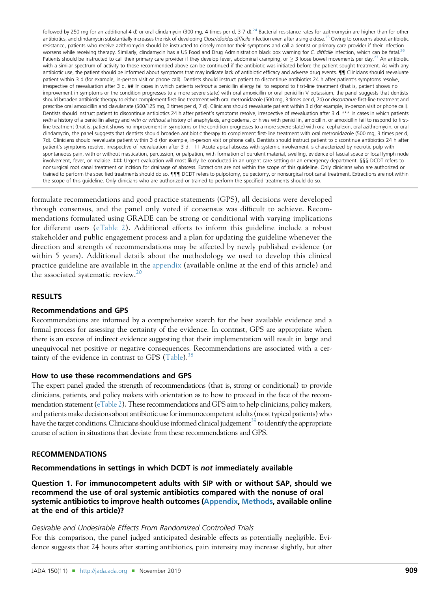<span id="page-3-0"></span>followed by 250 mg for an additional 4 d) or oral clindamycin (300 mg, 4 times per d, 3-7 d).<sup>[24](#page-14-0)</sup> Bacterial resistance rates for azithromycin are higher than for other antibiotics, and clindamycin substantially increases the risk of developing Clostridioides difficile infection even after a single dose.<sup>[25](#page-14-0)</sup> Owing to concerns about antibiotic resistance, patients who receive azithromycin should be instructed to closely monitor their symptoms and call a dentist or primary care provider if their infection worsens while receiving therapy. Similarly, clindamycin has a US Food and Drug Administration black box warning for C. difficile infection, which can be fatal.<sup>[26](#page-14-0)</sup> Patients should be instructed to call their primary care provider if they develop fever, abdominal cramping, or  $\geq$  3 loose bowel movements per day.<sup>[27](#page-14-0)</sup> An antibiotic with a similar spectrum of activity to those recommended above can be continued if the antibiotic was initiated before the patient sought treatment. As with any antibiotic use, the patient should be informed about symptoms that may indicate lack of antibiotic efficacy and adverse drug events.  $\P$  Clinicians should reevaluate patient within 3 d (for example, in-person visit or phone call). Dentists should instruct patient to discontinue antibiotics 24 h after patient's symptoms resolve, irrespective of reevaluation after 3 d. ## In cases in which patients without a penicillin allergy fail to respond to first-line treatment (that is, patient shows no improvement in symptoms or the condition progresses to a more severe state) with oral amoxicillin or oral penicillin V potassium, the panel suggests that dentists should broaden antibiotic therapy to either complement first-line treatment with oral metronidazole (500 mg, 3 times per d, 7d) or discontinue first-line treatment and prescribe oral amoxicillin and clavulanate (500/125 mg, 3 times per d, 7 d). Clinicians should reevaluate patient within 3 d (for example, in-person visit or phone call). Dentists should instruct patient to discontinue antibiotics 24 h after patient's symptoms resolve, irrespective of reevaluation after 3 d. \*\*\* In cases in which patients with a history of a penicillin allergy and with or without a history of anaphylaxis, angioedema, or hives with penicillin, ampicillin, or amoxicillin fail to respond to firstline treatment (that is, patient shows no improvement in symptoms or the condition progresses to a more severe state) with oral cephalexin, oral azithromycin, or oral clindamycin, the panel suggests that dentists should broaden antibiotic therapy to complement first-line treatment with oral metronidazole (500 mg, 3 times per d, 7d). Clinicians should reevaluate patient within 3 d (for example, in-person visit or phone call). Dentists should instruct patient to discontinue antibiotics 24 h after patient's symptoms resolve, irrespective of reevaluation after 3 d. ††† Acute apical abscess with systemic involvement is characterized by necrotic pulp with spontaneous pain, with or without mastication, percussion, or palpation, with formation of purulent material, swelling, evidence of fascial space or local lymph node involvement, fever, or malaise. ‡‡‡ Urgent evaluation will most likely be conducted in an urgent care setting or an emergency department. §§§ DCDT refers to nonsurgical root canal treatment or incision for drainage of abscess. Extractions are not within the scope of this guideline. Only clinicians who are authorized or trained to perform the specified treatments should do so.  $\P\P\P$  DCDT refers to pulpotomy, pulpectomy, or nonsurgical root canal treatment. Extractions are not within the scope of this guideline. Only clinicians who are authorized or trained to perform the specified treatments should do so.

formulate recommendations and good practice statements (GPS), all decisions were developed through consensus, and the panel only voted if consensus was difficult to achieve. Recommendations formulated using GRADE can be strong or conditional with varying implications for different users [\(eTable 2\)](#page-20-0). Additional efforts to inform this guideline include a robust stakeholder and public engagement process and a plan for updating the guideline whenever the direction and strength of recommendations may be affected by newly published evidence (or within 5 years). Additional details about the methodology we used to develop this clinical practice guideline are available in the [appendix](#page-16-0) (available online at the end of this article) and the associated systematic review.<sup>[20](#page-14-0)</sup>

## RESULTS

## Recommendations and GPS

Recommendations are informed by a comprehensive search for the best available evidence and a formal process for assessing the certainty of the evidence. In contrast, GPS are appropriate when there is an excess of indirect evidence suggesting that their implementation will result in large and unequivocal net positive or negative consequences. Recommendations are associated with a certainty of the evidence in contrast to GPS  $(Table)^{38}$  $(Table)^{38}$  $(Table)^{38}$  $(Table)^{38}$ .

## How to use these recommendations and GPS

The expert panel graded the strength of recommendations (that is, strong or conditional) to provide clinicians, patients, and policy makers with orientation as to how to proceed in the face of the recommendation statement [\(eTable 2](#page-20-0)). These recommendations and GPS aim to help clinicians, policy makers, and patients make decisions about antibiotic use for immunocompetent adults (most typical patients) who have the target conditions. Clinicians should use informed clinical judgement<sup>39</sup> to identify the appropriate course of action in situations that deviate from these recommendations and GPS.

## RECOMMENDATIONS

#### Recommendations in settings in which DCDT is not immediately available

Question 1. For immunocompetent adults with SIP with or without SAP, should we recommend the use of oral systemic antibiotics compared with the nonuse of oral systemic antibiotics to improve health outcomes ([Appendix,](#page-16-0) [Methods](#page-17-0), available online at the end of this article)?

## Desirable and Undesirable Effects From Randomized Controlled Trials

For this comparison, the panel judged anticipated desirable effects as potentially negligible. Evidence suggests that 24 hours after starting antibiotics, pain intensity may increase slightly, but after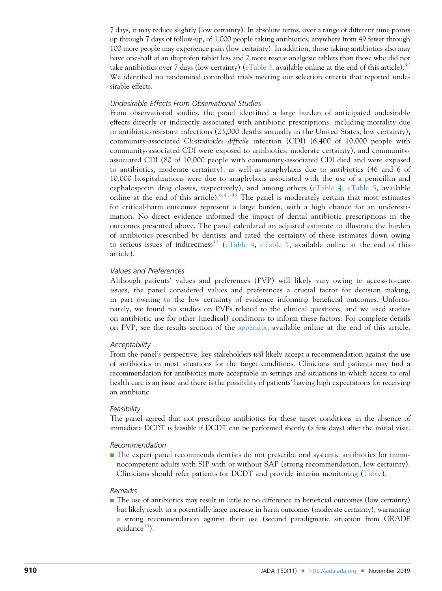7 days, it may reduce slightly (low certainty). In absolute terms, over a range of different time points up through 7 days of follow-up, of 1,000 people taking antibiotics, anywhere from 49 fewer through 100 more people may experience pain (low certainty). In addition, those taking antibiotics also may have one-half of an ibuprofen tablet less and 2 more rescue analgesic tablets than those who did not take antibiotics over 7 days (low certainty) ([eTable 3](#page-21-0), available online at the end of this article).<sup>[40](#page-15-0)</sup> We identified no randomized controlled trials meeting our selection criteria that reported undesirable effects.

# Undesirable Effects From Observational Studies

From observational studies, the panel identified a large burden of anticipated undesirable effects directly or indirectly associated with antibiotic prescriptions, including mortality due to antibiotic-resistant infections (23,000 deaths annually in the United States, low certainty), community-associated Clostridioides difficile infection (CDI) (6,400 of 10,000 people with community-associated CDI were exposed to antibiotics, moderate certainty), and communityassociated CDI (80 of 10,000 people with community-associated CDI died and were exposed to antibiotics, moderate certainty), as well as anaphylaxis due to antibiotics (46 and 6 of 10,000 hospitalizations were due to anaphylaxis associated with the use of a penicillin and cephalosporin drug classes, respectively), and among others ([eTable 4,](#page-22-0) [eTable 5,](#page-24-0) available online at the end of this article).  $6,41-49$  $6,41-49$  $6,41-49$  The panel is moderately certain that most estimates for critical-harm outcomes represent a large burden, with a high chance for an underestimation. No direct evidence informed the impact of dental antibiotic prescriptions in the outcomes presented above. The panel calculated an adjusted estimate to illustrate the burden of antibiotics prescribed by dentists and rated the certainty of these estimates down owing to serious issues of indirectness<sup>[43](#page-15-0)</sup> [\(eTable 4](#page-22-0), [eTable 5,](#page-24-0) available online at the end of this article).

## Values and Preferences

Although patients' values and preferences (PVP) will likely vary owing to access-to-care issues, the panel considered values and preferences a crucial factor for decision making, in part owning to the low certainty of evidence informing beneficial outcomes. Unfortunately, we found no studies on PVPs related to the clinical questions, and we used studies on antibiotic use for other (medical) conditions to inform these factors. For complete details on PVP, see the results section of the [appendix,](#page-16-0) available online at the end of this article.

#### **Acceptability**

From the panel's perspective, key stakeholders will likely accept a recommendation against the use of antibiotics in most situations for the target conditions. Clinicians and patients may find a recommendation for antibiotics more acceptable in settings and situations in which access to oral health care is an issue and there is the possibility of patients' having high expectations for receiving an antibiotic.

#### Feasibility

The panel agreed that not prescribing antibiotics for these target conditions in the absence of immediate DCDT is feasible if DCDT can be performed shortly (a few days) after the initial visit.

#### Recommendation

<sup>n</sup> The expert panel recommends dentists do not prescribe oral systemic antibiotics for immunocompetent adults with SIP with or without SAP (strong recommendation, low certainty). Clinicians should refer patients for DCDT and provide interim monitoring [\(Table](#page-2-0)).

#### Remarks

<sup>n</sup> The use of antibiotics may result in little to no difference in beneficial outcomes (low certainty) but likely result in a potentially large increase in harm outcomes (moderate certainty), warranting a strong recommendation against their use (second paradigmatic situation from GRADE guidance<sup>34</sup>).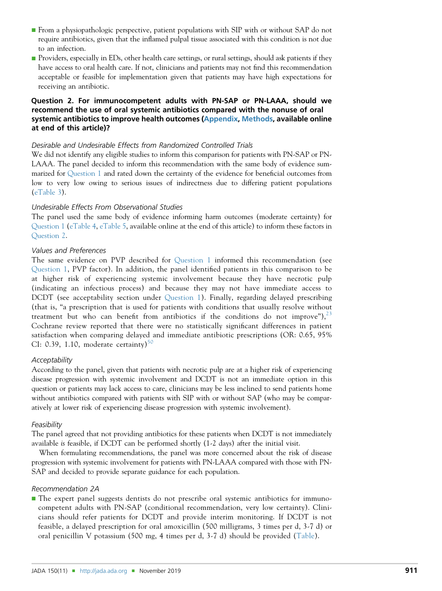- <sup>n</sup> From a physiopathologic perspective, patient populations with SIP with or without SAP do not require antibiotics, given that the inflamed pulpal tissue associated with this condition is not due to an infection.
- **n** Providers, especially in EDs, other health care settings, or rural settings, should ask patients if they have access to oral health care. If not, clinicians and patients may not find this recommendation acceptable or feasible for implementation given that patients may have high expectations for receiving an antibiotic.

# Question 2. For immunocompetent adults with PN-SAP or PN-LAAA, should we recommend the use of oral systemic antibiotics compared with the nonuse of oral systemic antibiotics to improve health outcomes ([Appendix,](#page-16-0) [Methods](#page-17-0), available online at end of this article)?

# Desirable and Undesirable Effects from Randomized Controlled Trials

We did not identify any eligible studies to inform this comparison for patients with PN-SAP or PN-LAAA. The panel decided to inform this recommendation with the same body of evidence summarized for [Question 1](#page-3-0) and rated down the certainty of the evidence for beneficial outcomes from low to very low owing to serious issues of indirectness due to differing patient populations ([eTable 3](#page-21-0)).

# Undesirable Effects From Observational Studies

The panel used the same body of evidence informing harm outcomes (moderate certainty) for [Question 1](#page-3-0) [\(eTable 4](#page-22-0), [eTable 5,](#page-24-0) available online at the end of this article) to inform these factors in Question 2.

# Values and Preferences

The same evidence on PVP described for [Question 1](#page-3-0) informed this recommendation (see [Question 1](#page-3-0), PVP factor). In addition, the panel identified patients in this comparison to be at higher risk of experiencing systemic involvement because they have necrotic pulp (indicating an infectious process) and because they may not have immediate access to DCDT (see acceptability section under [Question 1](#page-3-0)). Finally, regarding delayed prescribing (that is, "a prescription that is used for patients with conditions that usually resolve without treatment but who can benefit from antibiotics if the conditions do not improve"),  $2^3$ Cochrane review reported that there were no statistically significant differences in patient satisfaction when comparing delayed and immediate antibiotic prescriptions (OR: 0.65, 95% CI: 0.39, 1.10, moderate certainty)<sup>[50](#page-15-0)</sup>

# **Acceptability**

According to the panel, given that patients with necrotic pulp are at a higher risk of experiencing disease progression with systemic involvement and DCDT is not an immediate option in this question or patients may lack access to care, clinicians may be less inclined to send patients home without antibiotics compared with patients with SIP with or without SAP (who may be comparatively at lower risk of experiencing disease progression with systemic involvement).

## Feasibility

The panel agreed that not providing antibiotics for these patients when DCDT is not immediately available is feasible, if DCDT can be performed shortly (1-2 days) after the initial visit.

When formulating recommendations, the panel was more concerned about the risk of disease progression with systemic involvement for patients with PN-LAAA compared with those with PN-SAP and decided to provide separate guidance for each population.

# Recommendation 2A

<sup>n</sup> The expert panel suggests dentists do not prescribe oral systemic antibiotics for immunocompetent adults with PN-SAP (conditional recommendation, very low certainty). Clinicians should refer patients for DCDT and provide interim monitoring. If DCDT is not feasible, a delayed prescription for oral amoxicillin (500 milligrams, 3 times per d, 3-7 d) or oral penicillin V potassium (500 mg, 4 times per d, 3-7 d) should be provided [\(Table](#page-2-0)).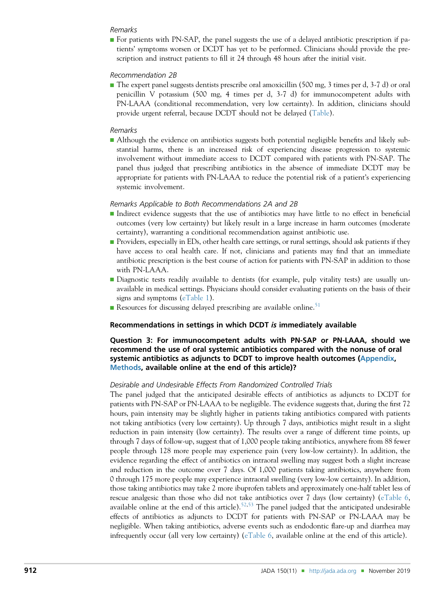## <span id="page-6-0"></span>Remarks

<sup>n</sup> For patients with PN-SAP, the panel suggests the use of a delayed antibiotic prescription if patients' symptoms worsen or DCDT has yet to be performed. Clinicians should provide the prescription and instruct patients to fill it 24 through 48 hours after the initial visit.

#### Recommendation 2B

The expert panel suggests dentists prescribe oral amoxicillin (500 mg, 3 times per d, 3-7 d) or oral penicillin V potassium (500 mg, 4 times per d, 3-7 d) for immunocompetent adults with PN-LAAA (conditional recommendation, very low certainty). In addition, clinicians should provide urgent referral, because DCDT should not be delayed ([Table](#page-2-0)).

#### Remarks

**n** Although the evidence on antibiotics suggests both potential negligible benefits and likely substantial harms, there is an increased risk of experiencing disease progression to systemic involvement without immediate access to DCDT compared with patients with PN-SAP. The panel thus judged that prescribing antibiotics in the absence of immediate DCDT may be appropriate for patients with PN-LAAA to reduce the potential risk of a patient's experiencing systemic involvement.

#### Remarks Applicable to Both Recommendations 2A and 2B

- <sup>n</sup> Indirect evidence suggests that the use of antibiotics may have little to no effect in beneficial outcomes (very low certainty) but likely result in a large increase in harm outcomes (moderate certainty), warranting a conditional recommendation against antibiotic use.
- **n** Providers, especially in EDs, other health care settings, or rural settings, should ask patients if they have access to oral health care. If not, clinicians and patients may find that an immediate antibiotic prescription is the best course of action for patients with PN-SAP in addition to those with PN-LAAA.
- <sup>n</sup> Diagnostic tests readily available to dentists (for example, pulp vitality tests) are usually unavailable in medical settings. Physicians should consider evaluating patients on the basis of their signs and symptoms [\(eTable 1](#page-20-0)).
- Resources for discussing delayed prescribing are available online.<sup>[51](#page-15-0)</sup>

#### Recommendations in settings in which DCDT is immediately available

# Question 3: For immunocompetent adults with PN-SAP or PN-LAAA, should we recommend the use of oral systemic antibiotics compared with the nonuse of oral systemic antibiotics as adjuncts to DCDT to improve health outcomes ([Appendix,](#page-16-0) [Methods,](#page-17-0) available online at the end of this article)?

#### Desirable and Undesirable Effects From Randomized Controlled Trials

The panel judged that the anticipated desirable effects of antibiotics as adjuncts to DCDT for patients with PN-SAP or PN-LAAA to be negligible. The evidence suggests that, during the first 72 hours, pain intensity may be slightly higher in patients taking antibiotics compared with patients not taking antibiotics (very low certainty). Up through 7 days, antibiotics might result in a slight reduction in pain intensity (low certainty). The results over a range of different time points, up through 7 days of follow-up, suggest that of 1,000 people taking antibiotics, anywhere from 88 fewer people through 128 more people may experience pain (very low-low certainty). In addition, the evidence regarding the effect of antibiotics on intraoral swelling may suggest both a slight increase and reduction in the outcome over 7 days. Of 1,000 patients taking antibiotics, anywhere from 0 through 175 more people may experience intraoral swelling (very low-low certainty). In addition, those taking antibiotics may take 2 more ibuprofen tablets and approximately one-half tablet less of rescue analgesic than those who did not take antibiotics over 7 days (low certainty) [\(eTable 6,](#page-26-0) available online at the end of this article).<sup>[52,53](#page-15-0)</sup> The panel judged that the anticipated undesirable effects of antibiotics as adjuncts to DCDT for patients with PN-SAP or PN-LAAA may be negligible. When taking antibiotics, adverse events such as endodontic flare-up and diarrhea may infrequently occur (all very low certainty) ([eTable 6,](#page-26-0) available online at the end of this article).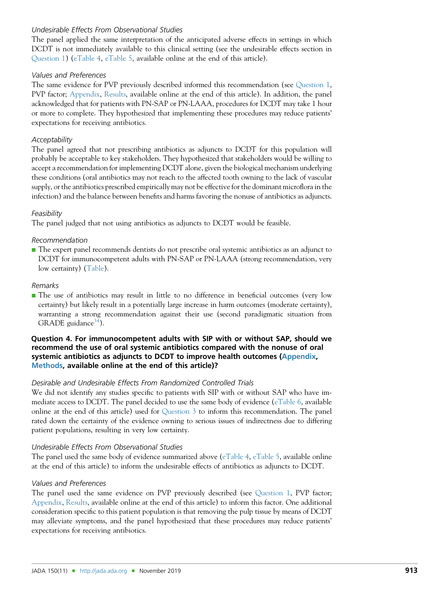# Undesirable Effects From Observational Studies

The panel applied the same interpretation of the anticipated adverse effects in settings in which DCDT is not immediately available to this clinical setting (see the undesirable effects section in [Question 1\)](#page-3-0) ([eTable 4,](#page-22-0) [eTable 5](#page-24-0), available online at the end of this article).

# Values and Preferences

The same evidence for PVP previously described informed this recommendation (see [Question 1,](#page-3-0) PVP factor; [Appendix](#page-16-0), [Results,](#page-19-0) available online at the end of this article). In addition, the panel acknowledged that for patients with PN-SAP or PN-LAAA, procedures for DCDT may take 1 hour or more to complete. They hypothesized that implementing these procedures may reduce patients' expectations for receiving antibiotics.

# **Acceptability**

The panel agreed that not prescribing antibiotics as adjuncts to DCDT for this population will probably be acceptable to key stakeholders. They hypothesized that stakeholders would be willing to accept a recommendation for implementing DCDT alone, given the biological mechanism underlying these conditions (oral antibiotics may not reach to the affected tooth owning to the lack of vascular supply, or the antibiotics prescribed empirically may not be effective for the dominant microflora in the infection) and the balance between benefits and harms favoring the nonuse of antibiotics as adjuncts.

# Feasibility

The panel judged that not using antibiotics as adjuncts to DCDT would be feasible.

# Recommendation

<sup>n</sup> The expert panel recommends dentists do not prescribe oral systemic antibiotics as an adjunct to DCDT for immunocompetent adults with PN-SAP or PN-LAAA (strong recommendation, very low certainty) ([Table\)](#page-2-0).

## Remarks

<sup>n</sup> The use of antibiotics may result in little to no difference in beneficial outcomes (very low certainty) but likely result in a potentially large increase in harm outcomes (moderate certainty), warranting a strong recommendation against their use (second paradigmatic situation from GRADE guidance<sup>34</sup>).

# Question 4. For immunocompetent adults with SIP with or without SAP, should we recommend the use of oral systemic antibiotics compared with the nonuse of oral systemic antibiotics as adjuncts to DCDT to improve health outcomes [\(Appendix](#page-16-0), [Methods,](#page-17-0) available online at the end of this article)?

# Desirable and Undesirable Effects From Randomized Controlled Trials

We did not identify any studies specific to patients with SIP with or without SAP who have immediate access to DCDT. The panel decided to use the same body of evidence [\(eTable 6,](#page-26-0) available online at the end of this article) used for [Question 3](#page-6-0) to inform this recommendation. The panel rated down the certainty of the evidence owning to serious issues of indirectness due to differing patient populations, resulting in very low certainty.

## Undesirable Effects From Observational Studies

The panel used the same body of evidence summarized above ([eTable 4,](#page-22-0) [eTable 5](#page-24-0), available online at the end of this article) to inform the undesirable effects of antibiotics as adjuncts to DCDT.

# Values and Preferences

The panel used the same evidence on PVP previously described (see [Question 1](#page-3-0), PVP factor; [Appendix](#page-16-0), [Results,](#page-19-0) available online at the end of this article) to inform this factor. One additional consideration specific to this patient population is that removing the pulp tissue by means of DCDT may alleviate symptoms, and the panel hypothesized that these procedures may reduce patients' expectations for receiving antibiotics.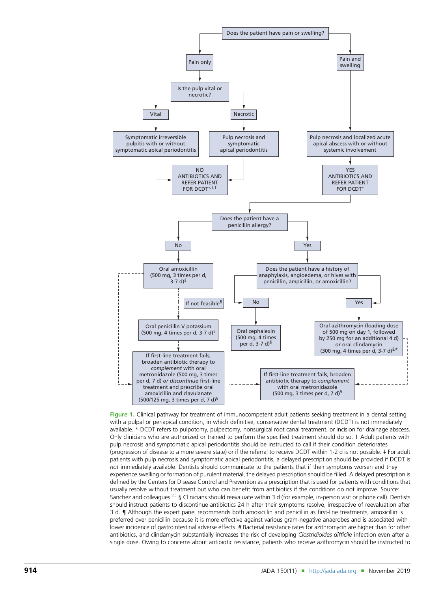<span id="page-8-0"></span>

Figure 1. Clinical pathway for treatment of immunocompetent adult patients seeking treatment in a dental setting with a pulpal or periapical condition, in which definitive, conservative dental treatment (DCDT) is not immediately available. \* DCDT refers to pulpotomy, pulpectomy, nonsurgical root canal treatment, or incision for drainage abscess. Only clinicians who are authorized or trained to perform the specified treatment should do so. † Adult patients with pulp necrosis and symptomatic apical periodontitis should be instructed to call if their condition deteriorates (progression of disease to a more severe state) or if the referral to receive DCDT within 1-2 d is not possible. ‡ For adult patients with pulp necrosis and symptomatic apical periodontitis, a delayed prescription should be provided if DCDT is not immediately available. Dentists should communicate to the patients that if their symptoms worsen and they experience swelling or formation of purulent material, the delayed prescription should be filled. A delayed prescription is defined by the Centers for Disease Control and Prevention as a prescription that is used for patients with conditions that usually resolve without treatment but who can benefit from antibiotics if the conditions do not improve. Source: Sanchez and colleagues.<sup>23</sup> § Clinicians should reevaluate within 3 d (for example, in-person visit or phone call). Dentists should instruct patients to discontinue antibiotics 24 h after their symptoms resolve, irrespective of reevaluation after 3 d. { Although the expert panel recommends both amoxicillin and penicillin as first-line treatments, amoxicillin is preferred over penicillin because it is more effective against various gram-negative anaerobes and is associated with lower incidence of gastrointestinal adverse effects. # Bacterial resistance rates for azithromycin are higher than for other antibiotics, and clindamycin substantially increases the risk of developing Clostridioides difficile infection even after a single dose. Owing to concerns about antibiotic resistance, patients who receive azithromycin should be instructed to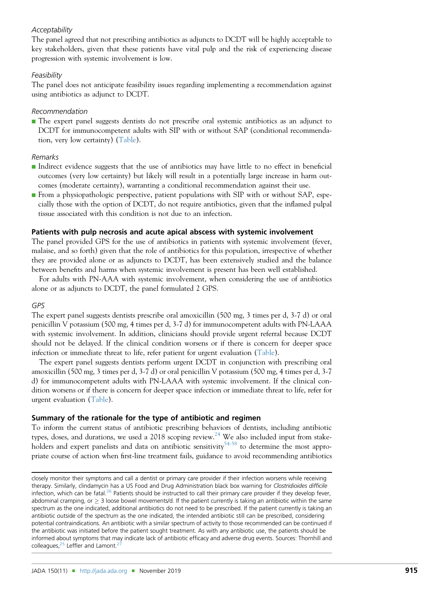# Acceptability

The panel agreed that not prescribing antibiotics as adjuncts to DCDT will be highly acceptable to key stakeholders, given that these patients have vital pulp and the risk of experiencing disease progression with systemic involvement is low.

#### **Feasibility**

The panel does not anticipate feasibility issues regarding implementing a recommendation against using antibiotics as adjunct to DCDT.

#### Recommendation

<sup>n</sup> The expert panel suggests dentists do not prescribe oral systemic antibiotics as an adjunct to DCDT for immunocompetent adults with SIP with or without SAP (conditional recommendation, very low certainty) [\(Table](#page-2-0)).

#### Remarks

- <sup>n</sup> Indirect evidence suggests that the use of antibiotics may have little to no effect in beneficial outcomes (very low certainty) but likely will result in a potentially large increase in harm outcomes (moderate certainty), warranting a conditional recommendation against their use.
- $\blacksquare$  From a physiopathologic perspective, patient populations with SIP with or without SAP, especially those with the option of DCDT, do not require antibiotics, given that the inflamed pulpal tissue associated with this condition is not due to an infection.

# Patients with pulp necrosis and acute apical abscess with systemic involvement

The panel provided GPS for the use of antibiotics in patients with systemic involvement (fever, malaise, and so forth) given that the role of antibiotics for this population, irrespective of whether they are provided alone or as adjuncts to DCDT, has been extensively studied and the balance between benefits and harms when systemic involvement is present has been well established.

For adults with PN-AAA with systemic involvement, when considering the use of antibiotics alone or as adjuncts to DCDT, the panel formulated 2 GPS.

## GPS

The expert panel suggests dentists prescribe oral amoxicillin (500 mg, 3 times per d, 3-7 d) or oral penicillin V potassium (500 mg, 4 times per d, 3-7 d) for immunocompetent adults with PN-LAAA with systemic involvement. In addition, clinicians should provide urgent referral because DCDT should not be delayed. If the clinical condition worsens or if there is concern for deeper space infection or immediate threat to life, refer patient for urgent evaluation [\(Table\)](#page-2-0).

The expert panel suggests dentists perform urgent DCDT in conjunction with prescribing oral amoxicillin (500 mg, 3 times per d, 3-7 d) or oral penicillin V potassium (500 mg, 4 times per d, 3-7 d) for immunocompetent adults with PN-LAAA with systemic involvement. If the clinical condition worsens or if there is concern for deeper space infection or immediate threat to life, refer for urgent evaluation [\(Table](#page-2-0)).

# Summary of the rationale for the type of antibiotic and regimen

To inform the current status of antibiotic prescribing behaviors of dentists, including antibiotic types, doses, and durations, we used a 2018 scoping review.<sup>[24](#page-14-0)</sup> We also included input from stake-holders and expert panelists and data on antibiotic sensitivity<sup>[54-58](#page-15-0)</sup> to determine the most appropriate course of action when first-line treatment fails, guidance to avoid recommending antibiotics

closely monitor their symptoms and call a dentist or primary care provider if their infection worsens while receiving therapy. Similarly, clindamycin has a US Food and Drug Administration black box warning for Clostridioides difficile infection, which can be fatal.<sup>[26](#page-14-0)</sup> Patients should be instructed to call their primary care provider if they develop fever, abdominal cramping, or  $\geq$  3 loose bowel movements/d. If the patient currently is taking an antibiotic within the same spectrum as the one indicated, additional antibiotics do not need to be prescribed. If the patient currently is taking an antibiotic outside of the spectrum as the one indicated, the intended antibiotic still can be prescribed, considering potential contraindications. An antibiotic with a similar spectrum of activity to those recommended can be continued if the antibiotic was initiated before the patient sought treatment. As with any antibiotic use, the patients should be informed about symptoms that may indicate lack of antibiotic efficacy and adverse drug events. Sources: Thornhill and colleagues, $25$  Leffler and Lamont.<sup>2</sup>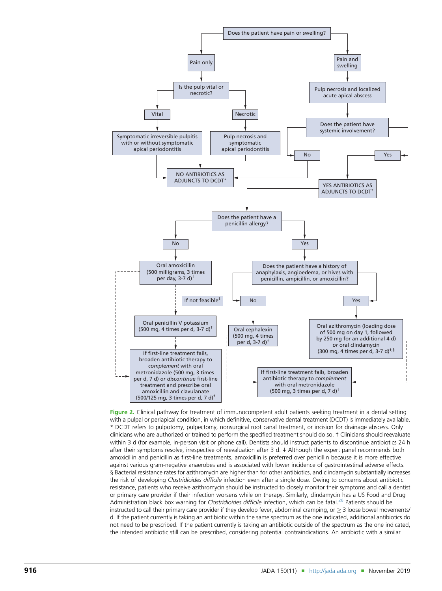<span id="page-10-0"></span>

Figure 2. Clinical pathway for treatment of immunocompetent adult patients seeking treatment in a dental setting with a pulpal or periapical condition, in which definitive, conservative dental treatment (DCDT) is immediately available. \* DCDT refers to pulpotomy, pulpectomy, nonsurgical root canal treatment, or incision for drainage abscess. Only clinicians who are authorized or trained to perform the specified treatment should do so. † Clinicians should reevaluate within 3 d (for example, in-person visit or phone call). Dentists should instruct patients to discontinue antibiotics 24 h after their symptoms resolve, irrespective of reevaluation after 3 d. ‡ Although the expert panel recommends both amoxicillin and penicillin as first-line treatments, amoxicillin is preferred over penicillin because it is more effective against various gram-negative anaerobes and is associated with lower incidence of gastrointestinal adverse effects. § Bacterial resistance rates for azithromycin are higher than for other antibiotics, and clindamycin substantially increases the risk of developing Clostridioides difficile infection even after a single dose. Owing to concerns about antibiotic resistance, patients who receive azithromycin should be instructed to closely monitor their symptoms and call a dentist or primary care provider if their infection worsens while on therapy. Similarly, clindamycin has a US Food and Drug Administration black box warning for Clostridioides difficile infection, which can be fatal.<sup>[26](#page-14-0)</sup> Patients should be instructed to call their primary care provider if they develop fever, abdominal cramping, or  $\geq 3$  loose bowel movements/ d. If the patient currently is taking an antibiotic within the same spectrum as the one indicated, additional antibiotics do not need to be prescribed. If the patient currently is taking an antibiotic outside of the spectrum as the one indicated, the intended antibiotic still can be prescribed, considering potential contraindications. An antibiotic with a similar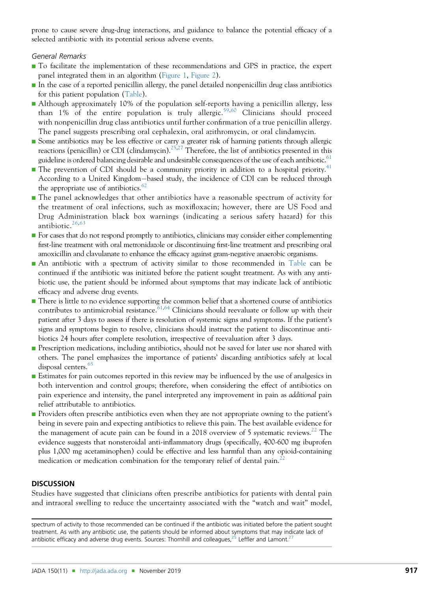prone to cause severe drug-drug interactions, and guidance to balance the potential efficacy of a selected antibiotic with its potential serious adverse events.

# General Remarks

- <sup>n</sup> To facilitate the implementation of these recommendations and GPS in practice, the expert panel integrated them in an algorithm [\(Figure 1](#page-8-0), [Figure 2\)](#page-10-0).
- <sup>n</sup> In the case of a reported penicillin allergy, the panel detailed nonpenicillin drug class antibiotics for this patient population [\(Table](#page-2-0)).
- <sup>n</sup> Although approximately 10% of the population self-reports having a penicillin allergy, less than 1% of the entire population is truly allergic.<sup>[59](#page-15-0),[60](#page-15-0)</sup> Clinicians should proceed with nonpenicillin drug class antibiotics until further confirmation of a true penicillin allergy. The panel suggests prescribing oral cephalexin, oral azithromycin, or oral clindamycin.
- <sup>n</sup> Some antibiotics may be less effective or carry a greater risk of harming patients through allergic reactions (penicillin) or CDI (clindamycin).<sup>25,27</sup> Therefore, the list of antibiotics presented in this guideline is ordered balancing desirable and undesirable consequences of the use of each antibiotic.<sup>61</sup>
- $\blacksquare$  The prevention of CDI should be a community priority in addition to a hospital priority.<sup>[41](#page-15-0)</sup> According to a United Kingdom-based study, the incidence of CDI can be reduced through the appropriate use of antibiotics.<sup>[62](#page-15-0)</sup>
- <sup>n</sup> The panel acknowledges that other antibiotics have a reasonable spectrum of activity for the treatment of oral infections, such as moxifloxacin; however, there are US Food and Drug Administration black box warnings (indicating a serious safety hazard) for this antibiotic. $26,63$  $26,63$
- <sup>n</sup> For cases that do not respond promptly to antibiotics, clinicians may consider either complementing first-line treatment with oral metronidazole or discontinuing first-line treatment and prescribing oral amoxicillin and clavulanate to enhance the efficacy against gram-negative anaerobic organisms.
- <sup>n</sup> An antibiotic with a spectrum of activity similar to those recommended in [Table](#page-2-0) can be continued if the antibiotic was initiated before the patient sought treatment. As with any antibiotic use, the patient should be informed about symptoms that may indicate lack of antibiotic efficacy and adverse drug events.
- There is little to no evidence supporting the common belief that a shortened course of antibiotics contributes to antimicrobial resistance.<sup>[61,64](#page-15-0)</sup> Clinicians should reevaluate or follow up with their patient after 3 days to assess if there is resolution of systemic signs and symptoms. If the patient's signs and symptoms begin to resolve, clinicians should instruct the patient to discontinue antibiotics 24 hours after complete resolution, irrespective of reevaluation after 3 days.
- **n** Prescription medications, including antibiotics, should not be saved for later use nor shared with others. The panel emphasizes the importance of patients' discarding antibiotics safely at local disposal centers.<sup>[65](#page-15-0)</sup>
- **Estimates for pain outcomes reported in this review may be influenced by the use of analgesics in** both intervention and control groups; therefore, when considering the effect of antibiotics on pain experience and intensity, the panel interpreted any improvement in pain as additional pain relief attributable to antibiotics.
- **Providers often prescribe antibiotics even when they are not appropriate owning to the patient's** being in severe pain and expecting antibiotics to relieve this pain. The best available evidence for the management of acute pain can be found in a 2018 overview of 5 systematic reviews.<sup>[22](#page-14-0)</sup> The evidence suggests that nonsteroidal anti-inflammatory drugs (specifically, 400-600 mg ibuprofen plus 1,000 mg acetaminophen) could be effective and less harmful than any opioid-containing medication or medication combination for the temporary relief of dental pain.<sup>2</sup>

# **DISCUSSION**

Studies have suggested that clinicians often prescribe antibiotics for patients with dental pain and intraoral swelling to reduce the uncertainty associated with the "watch and wait" model,

spectrum of activity to those recommended can be continued if the antibiotic was initiated before the patient sought treatment. As with any antibiotic use, the patients should be informed about symptoms that may indicate lack of antibiotic efficacy and adverse drug events. Sources: Thornhill and colleagues, $^{25}$  $^{25}$  $^{25}$  Leffler and Lamont.<sup>2</sup>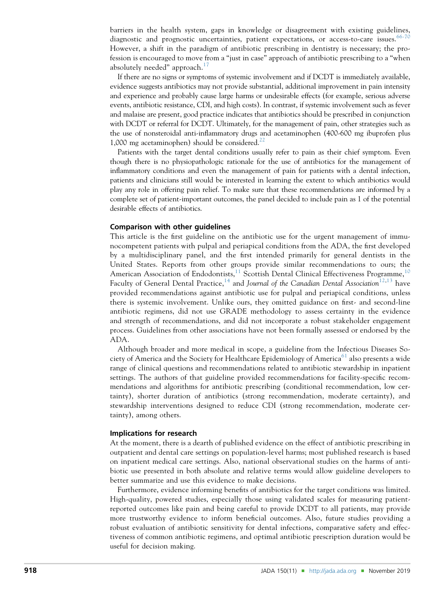barriers in the health system, gaps in knowledge or disagreement with existing guidelines, diagnostic and prognostic uncertainties, patient expectations, or access-to-care issues.<sup>[66-70](#page-15-0)</sup> However, a shift in the paradigm of antibiotic prescribing in dentistry is necessary; the profession is encouraged to move from a "just in case" approach of antibiotic prescribing to a "when absolutely needed" approach. $^{17}$  $^{17}$  $^{17}$ 

If there are no signs or symptoms of systemic involvement and if DCDT is immediately available, evidence suggests antibiotics may not provide substantial, additional improvement in pain intensity and experience and probably cause large harms or undesirable effects (for example, serious adverse events, antibiotic resistance, CDI, and high costs). In contrast, if systemic involvement such as fever and malaise are present, good practice indicates that antibiotics should be prescribed in conjunction with DCDT or referral for DCDT. Ultimately, for the management of pain, other strategies such as the use of nonsteroidal anti-inflammatory drugs and acetaminophen (400-600 mg ibuprofen plus 1,000 mg acetaminophen) should be considered.<sup>[22](#page-14-0)</sup>

Patients with the target dental conditions usually refer to pain as their chief symptom. Even though there is no physiopathologic rationale for the use of antibiotics for the management of inflammatory conditions and even the management of pain for patients with a dental infection, patients and clinicians still would be interested in learning the extent to which antibiotics would play any role in offering pain relief. To make sure that these recommendations are informed by a complete set of patient-important outcomes, the panel decided to include pain as 1 of the potential desirable effects of antibiotics.

#### Comparison with other guidelines

This article is the first guideline on the antibiotic use for the urgent management of immunocompetent patients with pulpal and periapical conditions from the ADA, the first developed by a multidisciplinary panel, and the first intended primarily for general dentists in the United States. Reports from other groups provide similar recommendations to ours; the American Association of Endodontists,<sup>[11](#page-14-0)</sup> Scottish Dental Clinical Effectiveness Programme,<sup>[10](#page-14-0)</sup> Faculty of General Dental Practice,<sup>[14](#page-14-0)</sup> and Journal of the Canadian Dental Association<sup>[12,13](#page-14-0)</sup> have provided recommendations against antibiotic use for pulpal and periapical conditions, unless there is systemic involvement. Unlike ours, they omitted guidance on first- and second-line antibiotic regimens, did not use GRADE methodology to assess certainty in the evidence and strength of recommendations, and did not incorporate a robust stakeholder engagement process. Guidelines from other associations have not been formally assessed or endorsed by the ADA.

Although broader and more medical in scope, a guideline from the Infectious Diseases So-ciety of America and the Society for Healthcare Epidemiology of America<sup>[61](#page-15-0)</sup> also presents a wide range of clinical questions and recommendations related to antibiotic stewardship in inpatient settings. The authors of that guideline provided recommendations for facility-specific recommendations and algorithms for antibiotic prescribing (conditional recommendation, low certainty), shorter duration of antibiotics (strong recommendation, moderate certainty), and stewardship interventions designed to reduce CDI (strong recommendation, moderate certainty), among others.

#### Implications for research

At the moment, there is a dearth of published evidence on the effect of antibiotic prescribing in outpatient and dental care settings on population-level harms; most published research is based on inpatient medical care settings. Also, national observational studies on the harms of antibiotic use presented in both absolute and relative terms would allow guideline developers to better summarize and use this evidence to make decisions.

Furthermore, evidence informing benefits of antibiotics for the target conditions was limited. High-quality, powered studies, especially those using validated scales for measuring patientreported outcomes like pain and being careful to provide DCDT to all patients, may provide more trustworthy evidence to inform beneficial outcomes. Also, future studies providing a robust evaluation of antibiotic sensitivity for dental infections, comparative safety and effectiveness of common antibiotic regimens, and optimal antibiotic prescription duration would be useful for decision making.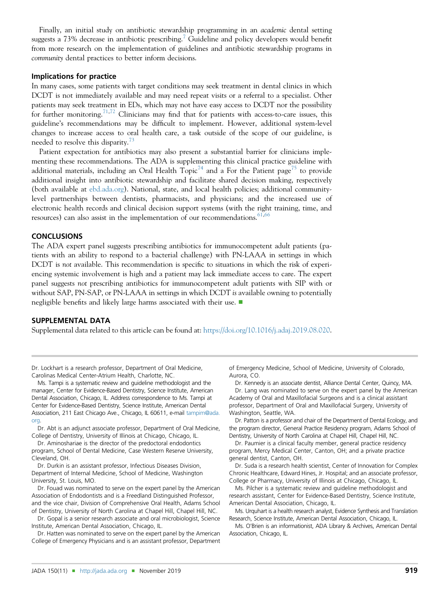Finally, an initial study on antibiotic stewardship programming in an *academic* dental setting suggests a [7](#page-14-0)3% decrease in antibiotic prescribing.<sup>7</sup> Guideline and policy developers would benefit from more research on the implementation of guidelines and antibiotic stewardship programs in community dental practices to better inform decisions.

#### Implications for practice

In many cases, some patients with target conditions may seek treatment in dental clinics in which DCDT is not immediately available and may need repeat visits or a referral to a specialist. Other patients may seek treatment in EDs, which may not have easy access to DCDT nor the possibility for further monitoring.[71,72](#page-15-0) Clinicians may find that for patients with access-to-care issues, this guideline's recommendations may be difficult to implement. However, additional system-level changes to increase access to oral health care, a task outside of the scope of our guideline, is needed to resolve this disparity.<sup>[73](#page-15-0)</sup>

Patient expectation for antibiotics may also present a substantial barrier for clinicians implementing these recommendations. The ADA is supplementing this clinical practice guideline with additional materials, including an Oral Health Topic<sup>[74](#page-15-0)</sup> and a For the Patient page<sup>[75](#page-15-0)</sup> to provide additional insight into antibiotic stewardship and facilitate shared decision making, respectively (both available at [ebd.ada.org\)](http://ebd.ada.org). National, state, and local health policies; additional communitylevel partnerships between dentists, pharmacists, and physicians; and the increased use of electronic health records and clinical decision support systems (with the right training, time, and resources) can also assist in the implementation of our recommendations.  $61,66$ 

#### **CONCLUSIONS**

The ADA expert panel suggests prescribing antibiotics for immunocompetent adult patients (patients with an ability to respond to a bacterial challenge) with PN-LAAA in settings in which DCDT is not available. This recommendation is specific to situations in which the risk of experiencing systemic involvement is high and a patient may lack immediate access to care. The expert panel suggests not prescribing antibiotics for immunocompetent adult patients with SIP with or without SAP, PN-SAP, or PN-LAAA in settings in which DCDT is available owning to potentially negligible benefits and likely large harms associated with their use.  $\blacksquare$ 

#### SUPPLEMENTAL DATA

Supplemental data related to this article can be found at: [https://doi.org/10.1016/j.adaj.2019.08.020.](https://doi.org/10.1016/j.adaj.2019.08.020)

Dr. Lockhart is a research professor, Department of Oral Medicine, Carolinas Medical Center-Atrium Health, Charlotte, NC.

Ms. Tampi is a systematic review and guideline methodologist and the manager, Center for Evidence-Based Dentistry, Science Institute, American Dental Association, Chicago, IL. Address correspondence to Ms. Tampi at Center for Evidence-Based Dentistry, Science Institute, American Dental Association, 211 East Chicago Ave., Chicago, IL 60611, e-mail [tampim@ada.](mailto:tampim@ada.org) [org.](mailto:tampim@ada.org)

Dr. Abt is an adjunct associate professor, Department of Oral Medicine, College of Dentistry, University of Illinois at Chicago, Chicago, IL.

Dr. Aminoshariae is the director of the predoctoral endodontics program, School of Dental Medicine, Case Western Reserve University, Cleveland, OH.

Dr. Durkin is an assistant professor, Infectious Diseases Division, Department of Internal Medicine, School of Medicine, Washington University, St. Louis, MO.

Dr. Fouad was nominated to serve on the expert panel by the American Association of Endodontists and is a Freedland Distinguished Professor, and the vice chair, Division of Comprehensive Oral Health, Adams School of Dentistry, University of North Carolina at Chapel Hill, Chapel Hill, NC.

Dr. Gopal is a senior research associate and oral microbiologist, Science Institute, American Dental Association, Chicago, IL.

Dr. Hatten was nominated to serve on the expert panel by the American College of Emergency Physicians and is an assistant professor, Department of Emergency Medicine, School of Medicine, University of Colorado, Aurora, CO.

Dr. Kennedy is an associate dentist, Alliance Dental Center, Quincy, MA. Dr. Lang was nominated to serve on the expert panel by the American Academy of Oral and Maxillofacial Surgeons and is a clinical assistant professor, Department of Oral and Maxillofacial Surgery, University of Washington, Seattle, WA.

Dr. Patton is a professor and chair of the Department of Dental Ecology, and the program director, General Practice Residency program, Adams School of Dentistry, University of North Carolina at Chapel Hill, Chapel Hill, NC.

Dr. Paumier is a clinical faculty member, general practice residency program, Mercy Medical Center, Canton, OH; and a private practice general dentist, Canton, OH.

Dr. Suda is a research health scientist, Center of Innovation for Complex Chronic Healthcare, Edward Hines, Jr. Hospital; and an associate professor, College or Pharmacy, University of Illinois at Chicago, Chicago, IL.

Ms. Pilcher is a systematic review and guideline methodologist and research assistant, Center for Evidence-Based Dentistry, Science Institute, American Dental Association, Chicago, IL.

Ms. Urquhart is a health research analyst, Evidence Synthesis and Translation Research, Science Institute, American Dental Association, Chicago, IL.

Ms. O'Brien is an informationist, ADA Library & Archives, American Dental Association, Chicago, IL.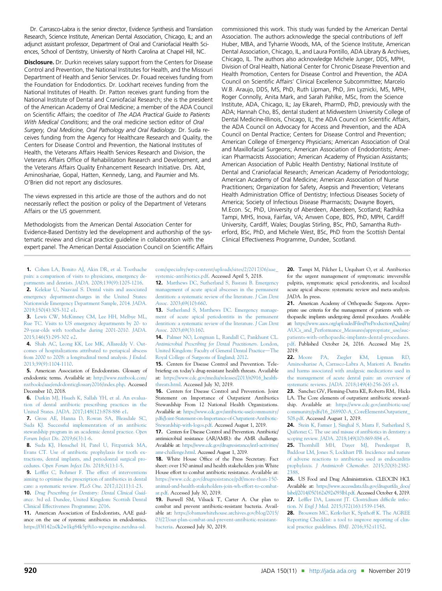<span id="page-14-0"></span>Dr. Carrasco-Labra is the senior director, Evidence Synthesis and Translation Research, Science Institute, American Dental Association, Chicago, IL; and an adjunct assistant professor, Department of Oral and Craniofacial Health Sciences, School of Dentistry, University of North Carolina at Chapel Hill, NC.

**Disclosure.** Dr. Durkin receives salary support from the Centers for Disease Control and Prevention, the National Institutes for Health, and the Missouri Department of Health and Senior Services. Dr. Fouad receives funding from the Foundation for Endodontics. Dr. Lockhart receives funding from the National Institutes of Health. Dr. Patton receives grant funding from the National Institute of Dental and Craniofacial Research; she is the president of the American Academy of Oral Medicine; a member of the ADA Council on Scientific Affairs; the coeditor of The ADA Practical Guide to Patients With Medical Conditions; and the oral medicine section editor of Oral Surgery, Oral Medicine, Oral Pathology and Oral Radiology. Dr. Suda receives funding from the Agency for Healthcare Research and Quality, the Centers for Disease Control and Prevention, the National Institutes of Health, the Veterans Affairs Health Services Research and Division, the Veterans Affairs Office of Rehabilitation Research and Development, and the Veterans Affairs Quality Enhancement Research Initiative. Drs. Abt, Aminoshariae, Gopal, Hatten, Kennedy, Lang, and Paumier and Ms. O'Brien did not report any disclosures.

The views expressed in this article are those of the authors and do not necessarily reflect the position or policy of the Department of Veterans Affairs or the US government.

Methodologists from the American Dental Association Center for Evidence-Based Dentistry led the development and authorship of the systematic review and clinical practice guideline in collaboration with the expert panel. The American Dental Association Council on Scientific Affairs

commissioned this work. This study was funded by the American Dental Association. The authors acknowledge the special contributions of Jeff Huber, MBA, and Tyharrie Woods, MA, of the Science Institute, American Dental Association, Chicago, IL, and Laura Pontillo, ADA Library & Archives, Chicago, IL. The authors also acknowledge Michele Junger, DDS, MPH, Division of Oral Health, National Center for Chronic Disease Prevention and Health Promotion, Centers for Disease Control and Prevention, the ADA Council on Scientific Affairs' Clinical Excellence Subcommittee; Marcelo W.B. Araujo, DDS, MS, PhD, Ruth Lipman, PhD, Jim Lyznicki, MS, MPH, Roger Connolly, Anita Mark, and Sarah Pahlke, MSc, from the Science Institute, ADA, Chicago, IL; Jay Elkareh, PharmD, PhD, previously with the ADA; Hannah Cho, BS, dental student at Midwestern University College of Dental Medicine-Illinois, Chicago, IL; the ADA Council on Scientific Affairs, the ADA Council on Advocacy for Access and Prevention, and the ADA Council on Dental Practice; Centers for Disease Control and Prevention; American College of Emergency Physicians; American Association of Oral and Maxillofacial Surgeons; American Association of Endodontists; American Pharmacists Association; American Academy of Physician Assistants; American Association of Public Health Dentistry; National Institute of Dental and Craniofacial Research; American Academy of Periodontology; American Academy of Oral Medicine; American Association of Nurse Practitioners; Organization for Safety, Asepsis and Prevention; Veterans Health Administration Office of Dentistry; Infectious Diseases Society of America; Society of Infectious Disease Pharmacists; Dwayne Boyers, M.Econ. Sc, PhD, University of Aberdeen, Aberdeen, Scotland; Radhika Tampi, MHS, Inova, Fairfax, VA; Anwen Cope, BDS, PhD, MPH, Cardiff University, Cardiff, Wales; Douglas Stirling, BSc, PhD, Samantha Rutherford, BSc, PhD, and Michele West, BSc, PhD from the Scottish Dental Clinical Effectiveness Programme, Dundee, Scotland.

1. [Cohen LA, Bonito AJ, Akin DR, et al. Toothache](http://refhub.elsevier.com/S0002-8177(19)30617-8/sref1) [pain: a comparison of visits to physicians, emergency de](http://refhub.elsevier.com/S0002-8177(19)30617-8/sref1)partments and dentists. JADA[. 2008;139\(9\):1205-1216](http://refhub.elsevier.com/S0002-8177(19)30617-8/sref1). 2. [Kelekar U, Naavaal S. Dental visits and associated](http://refhub.elsevier.com/S0002-8177(19)30617-8/sref2) [emergency department-charges in the United States:](http://refhub.elsevier.com/S0002-8177(19)30617-8/sref2) [Nationwide Emergency Department Sample, 2014.](http://refhub.elsevier.com/S0002-8177(19)30617-8/sref2) JADA. [2019;150\(4\):305-312 e1](http://refhub.elsevier.com/S0002-8177(19)30617-8/sref2).

3. [Lewis CW, McKinney CM, Lee HH, Melbye ML,](http://refhub.elsevier.com/S0002-8177(19)30617-8/sref3) [Rue TC. Visits to US emergency departments by 20- to](http://refhub.elsevier.com/S0002-8177(19)30617-8/sref3) [29-year-olds with toothache during 2001-2010.](http://refhub.elsevier.com/S0002-8177(19)30617-8/sref3) JADA. [2015;146\(5\):295-302 e2](http://refhub.elsevier.com/S0002-8177(19)30617-8/sref3).

4. [Shah AC, Leong KK, Lee MK, Allareddy V. Out](http://refhub.elsevier.com/S0002-8177(19)30617-8/sref4)[comes of hospitalizations attributed to periapical abscess](http://refhub.elsevier.com/S0002-8177(19)30617-8/sref4) [from 2000 to 2008: a longitudinal trend analysis.](http://refhub.elsevier.com/S0002-8177(19)30617-8/sref4) J Endod. [2013;39\(9\):1104-1110](http://refhub.elsevier.com/S0002-8177(19)30617-8/sref4).

5. American Association of Endodontists. Glossary of endodontic terms. Available at: [http://www.nxtbook.com/](http://www.nxtbook.com/nxtbooks/aae/endodonticglossary2016/index.php) [nxtbooks/aae/endodonticglossary2016/index.php.](http://www.nxtbook.com/nxtbooks/aae/endodonticglossary2016/index.php) Accessed December 10, 2018.

6. [Durkin MJ, Hsueh K, Sallah YH, et al. An evalua](http://refhub.elsevier.com/S0002-8177(19)30617-8/sref6)[tion of dental antibiotic prescribing practices in the](http://refhub.elsevier.com/S0002-8177(19)30617-8/sref6) United States. JADA[. 2017;148\(12\):878-886 e1](http://refhub.elsevier.com/S0002-8177(19)30617-8/sref6).

7. [Gross AE, Hanna D, Rowan SA, Bleasdale SC,](http://refhub.elsevier.com/S0002-8177(19)30617-8/sref7) [Suda KJ. Successful implementation of an antibiotic](http://refhub.elsevier.com/S0002-8177(19)30617-8/sref7) [stewardship program in an academic dental practice.](http://refhub.elsevier.com/S0002-8177(19)30617-8/sref7) Open [Forum Infect Dis](http://refhub.elsevier.com/S0002-8177(19)30617-8/sref7). 2019;6(3):1-6.

8. [Suda KJ, Henschel H, Patel U, Fitzpatrick MA,](http://refhub.elsevier.com/S0002-8177(19)30617-8/sref8) [Evans CT. Use of antibiotic prophylaxis for tooth ex](http://refhub.elsevier.com/S0002-8177(19)30617-8/sref8)[tractions, dental implants, and periodontal surgical pro](http://refhub.elsevier.com/S0002-8177(19)30617-8/sref8)cedures. [Open Forum Infect Dis](http://refhub.elsevier.com/S0002-8177(19)30617-8/sref8). 2018;5(1):1-5.

9. Loffl[er C, Bohmer F. The effect of interventions](http://refhub.elsevier.com/S0002-8177(19)30617-8/sref9) [aiming to optimise the prescription of antibiotics in dental](http://refhub.elsevier.com/S0002-8177(19)30617-8/sref9) [care: a systematic review.](http://refhub.elsevier.com/S0002-8177(19)30617-8/sref9) PLoS One. 2017;12(11):1-23. 10. [Drug Prescribing for Dentistry: Dental Clinical Guid](http://refhub.elsevier.com/S0002-8177(19)30617-8/sref10)ance[. 3rd ed. Dundee, United Kingdom: Scottish Dental](http://refhub.elsevier.com/S0002-8177(19)30617-8/sref10) [Clinical Effectiveness Programme; 2016](http://refhub.elsevier.com/S0002-8177(19)30617-8/sref10).

11. American Asosciation of Endodontists, AAE guidance on the use of systemic antibiotics in endodontics. [https://f3f142zs0k2w1kg84k5p9i1o-wpengine.netdna-ssl.](https://f3f142zs0k2w1kg84k5p9i1o-wpengine.netdna-ssl.com/specialty/wp-content/uploads/sites/2/2017/06/aae_systemic-antibiotics.pdf) [com/specialty/wp-content/uploads/sites/2/2017/06/aae\\_](https://f3f142zs0k2w1kg84k5p9i1o-wpengine.netdna-ssl.com/specialty/wp-content/uploads/sites/2/2017/06/aae_systemic-antibiotics.pdf) [systemic-antibiotics.pdf.](https://f3f142zs0k2w1kg84k5p9i1o-wpengine.netdna-ssl.com/specialty/wp-content/uploads/sites/2/2017/06/aae_systemic-antibiotics.pdf) Accessed April 5, 2018.

12. [Matthews DC, Sutherland S, Basrani B. Emergency](http://refhub.elsevier.com/S0002-8177(19)30617-8/sref12) [management of acute apical abscesses in the permanent](http://refhub.elsevier.com/S0002-8177(19)30617-8/sref12) [dentition: a systematic review of the literature.](http://refhub.elsevier.com/S0002-8177(19)30617-8/sref12) J Can Dent Assoc[. 2003;69\(10\):660](http://refhub.elsevier.com/S0002-8177(19)30617-8/sref12).

13. [Sutherland S, Matthews DC. Emergency manage](http://refhub.elsevier.com/S0002-8177(19)30617-8/sref13)[ment of acute apical periodontitis in the permanent](http://refhub.elsevier.com/S0002-8177(19)30617-8/sref13) [dentition: a systematic review of the literature.](http://refhub.elsevier.com/S0002-8177(19)30617-8/sref13) J Can Dent Assoc[. 2003;69\(3\):160.](http://refhub.elsevier.com/S0002-8177(19)30617-8/sref13)

14. [Palmer NO, Longman L, Randall C, Pankhurst CL.](http://refhub.elsevier.com/S0002-8177(19)30617-8/sref14) [Antimicrobial Prescribing for Dental Practitioners](http://refhub.elsevier.com/S0002-8177(19)30617-8/sref14). London, [United Kingdom: Faculty of General Dental Practice](http://refhub.elsevier.com/S0002-8177(19)30617-8/sref14)-[The](http://refhub.elsevier.com/S0002-8177(19)30617-8/sref14) [Royal College of Surgeons of England; 2012](http://refhub.elsevier.com/S0002-8177(19)30617-8/sref14).

15. Centers for Disease Control and Prevention. Telebriefing on today's drug-resistant health threats. Available at: [https://www.cdc.gov/media/releases/2013/t0916\\_health](https://www.cdc.gov/media/releases/2013/t0916_health-threats.html)[threats.html](https://www.cdc.gov/media/releases/2013/t0916_health-threats.html). Accessed July 30, 2019.

16. Centers for Disease Control and Prevention. Joint Statement on Importance of Outpatient Antibiotics Stewardship From 12 National Health Organizations. Available at: [https://www.cdc.gov/antibiotic-use/community/](https://www.cdc.gov/antibiotic-use/community/pdfs/Joint-Statement-on-Importance-of-Outpatient-Antibiotic-Stewardship-with-logos.pdf) [pdfs/Joint-Statement-on-Importance-of-Outpatient-Antibiotic-](https://www.cdc.gov/antibiotic-use/community/pdfs/Joint-Statement-on-Importance-of-Outpatient-Antibiotic-Stewardship-with-logos.pdf)[Stewardship-with-logos.pdf](https://www.cdc.gov/antibiotic-use/community/pdfs/Joint-Statement-on-Importance-of-Outpatient-Antibiotic-Stewardship-with-logos.pdf). Accessed August 1, 2019.

17. Centers for Disease Control and Prevention. Antibiotic/ antimicrobial resistance (AR/AMR): the AMR challenge. Available at: [https://www.cdc.gov/drugresistance/intl-activities/](https://www.cdc.gov/drugresistance/intl-activities/amr-challenge.html) [amr-challenge.html](https://www.cdc.gov/drugresistance/intl-activities/amr-challenge.html). Accessed August 1, 2019.

18. White House Office of the Press Secretary. Fact sheet: over 150 animal and health stakeholders join White House effort to combat antibiotic resistance. Available at: [https://www.cdc.gov/drugresistance/pdf/more-than-150](https://www.cdc.gov/drugresistance/pdf/more-than-150-animal-and-health-stakeholders-join-wh-effort-to-combat-ar.pdf) [animal-and-health-stakeholders-join-wh-effort-to-combat](https://www.cdc.gov/drugresistance/pdf/more-than-150-animal-and-health-stakeholders-join-wh-effort-to-combat-ar.pdf)[ar.pdf.](https://www.cdc.gov/drugresistance/pdf/more-than-150-animal-and-health-stakeholders-join-wh-effort-to-combat-ar.pdf) Accessed July 30, 2019.

19. Burwell SM, Vilsack T, Carter A. Our plan to combat and prevent antibiotic-resistant bacteria. Available at: [https://obamawhitehouse.archives.gov/blog/2015/](https://obamawhitehouse.archives.gov/blog/2015/03/27/our-plan-combat-and-prevent-antibiotic-resistant-bacteria) [03/27/our-plan-combat-and-prevent-antibiotic-resistant](https://obamawhitehouse.archives.gov/blog/2015/03/27/our-plan-combat-and-prevent-antibiotic-resistant-bacteria)[bacteria.](https://obamawhitehouse.archives.gov/blog/2015/03/27/our-plan-combat-and-prevent-antibiotic-resistant-bacteria) Accessed July 30, 2019.

20. Tampi M, Pilcher L, Urquhart O, et al. Antibiotics for the urgent management of symptomatic irreversible pulpitis, symptomatic apical periodontitis, and localized acute apical abscess: systematic review and meta-analysis. JADA. In press.

21. American Academy of Orthopaedic Surgeons. Appropriate use criteria for the management of patients with orthopaedic implants undergoing dental procedures. Available at: [https://www.aaos.org/uploadedFiles/PreProduction/Quality/](https://www.aaos.org/uploadedFiles/PreProduction/Quality/AUCs_and_Performance_Measures/appropriate_use/auc-patients-with-orthopaedic-implants-dental-procedures.pdf) [AUCs\\_and\\_Performance\\_Measures/appropriate\\_use/auc](https://www.aaos.org/uploadedFiles/PreProduction/Quality/AUCs_and_Performance_Measures/appropriate_use/auc-patients-with-orthopaedic-implants-dental-procedures.pdf)[patients-with-orthopaedic-implants-dental-procedures.](https://www.aaos.org/uploadedFiles/PreProduction/Quality/AUCs_and_Performance_Measures/appropriate_use/auc-patients-with-orthopaedic-implants-dental-procedures.pdf) [pdf.](https://www.aaos.org/uploadedFiles/PreProduction/Quality/AUCs_and_Performance_Measures/appropriate_use/auc-patients-with-orthopaedic-implants-dental-procedures.pdf) Published October 24, 2016. Accessed May 25, 2019.

22. [Moore PA, Ziegler KM, Lipman RD,](http://refhub.elsevier.com/S0002-8177(19)30617-8/sref22) [Aminoshariae A, Carrasco-Labra A, Mariotti A. Bene](http://refhub.elsevier.com/S0002-8177(19)30617-8/sref22)fits [and harms associated with analgesic medications used in](http://refhub.elsevier.com/S0002-8177(19)30617-8/sref22) [the management of acute dental pain: an overview of](http://refhub.elsevier.com/S0002-8177(19)30617-8/sref22) systematic reviews. JADA[. 2018;149\(4\):256-265 e3.](http://refhub.elsevier.com/S0002-8177(19)30617-8/sref22)

23. Sanchez GV, Fleming-Dutra KE, Roberts RM, Hicks LA. The Core elements of outpatient antibiotic stewardship. Available at: [https://www.cdc.gov/antibiotic-use/](https://www.cdc.gov/antibiotic-use/community/pdfs/16_268900-A_CoreElementsOutpatient_508.pdf) [community/pdfs/16\\_268900-A\\_CoreElementsOutpatient\\_](https://www.cdc.gov/antibiotic-use/community/pdfs/16_268900-A_CoreElementsOutpatient_508.pdf) [508.pdf](https://www.cdc.gov/antibiotic-use/community/pdfs/16_268900-A_CoreElementsOutpatient_508.pdf). Accessed August 1, 2019.

24. [Stein K, Farmer J, Singhal S, Marra F, Sutherland S,](http://refhub.elsevier.com/S0002-8177(19)30617-8/sref24) [Quiñonez C. The use and misuse of antibiotics in dentistry: a](http://refhub.elsevier.com/S0002-8177(19)30617-8/sref24) scoping review. JADA[. 2018;149\(10\):869-884 e5](http://refhub.elsevier.com/S0002-8177(19)30617-8/sref24).

25. [Thornhill MH, Dayer MJ, Prendergast B,](http://refhub.elsevier.com/S0002-8177(19)30617-8/sref25) [Baddour LM, Jones S, Lockhart PB. Incidence and nature](http://refhub.elsevier.com/S0002-8177(19)30617-8/sref25) [of adverse reactions to antibiotics used as endocarditis](http://refhub.elsevier.com/S0002-8177(19)30617-8/sref25) prophylaxis. [J Antimicrob Chemother](http://refhub.elsevier.com/S0002-8177(19)30617-8/sref25). 2015;70(8):2382- [2388](http://refhub.elsevier.com/S0002-8177(19)30617-8/sref25).

26. US Food and Drug Administration. CLEOCIN HCl. Available at: [https://www.accessdata.fda.gov/drugsatfda\\_docs/](https://www.accessdata.fda.gov/drugsatfda_docs/label/2014/050162s092s093lbl.pdf) [label/2014/050162s092s093lbl.pdf.](https://www.accessdata.fda.gov/drugsatfda_docs/label/2014/050162s092s093lbl.pdf) Accessed October 4, 2019. 27. Leffl[er DA, Lamont JT. Clostridium dif](http://refhub.elsevier.com/S0002-8177(19)30617-8/sref26)ficile infection. N Engl J Med[. 2015;372\(16\):1539-1548.](http://refhub.elsevier.com/S0002-8177(19)30617-8/sref26)

28. [Brouwers MC, Kerkvliet K, Spithoff K. The AGREE](http://refhub.elsevier.com/S0002-8177(19)30617-8/sref27) [Reporting Checklist: a tool to improve reporting of clin](http://refhub.elsevier.com/S0002-8177(19)30617-8/sref27)[ical practice guidelines.](http://refhub.elsevier.com/S0002-8177(19)30617-8/sref27) BMJ. 2016;352:i1152.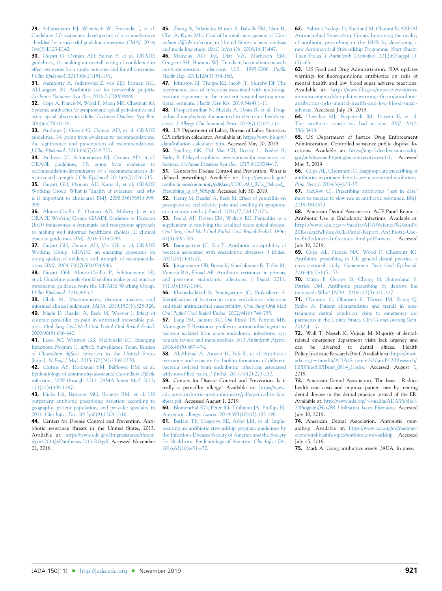<span id="page-15-0"></span>29. [Schunemann HJ, Wiercioch W, Etxeandia I, et al.](http://refhub.elsevier.com/S0002-8177(19)30617-8/sref28) [Guidelines 2.0: systematic development of a comprehensive](http://refhub.elsevier.com/S0002-8177(19)30617-8/sref28) [checklist for a successful guideline enterprise.](http://refhub.elsevier.com/S0002-8177(19)30617-8/sref28) CMAJ. 2014; [186\(3\):E123-E142.](http://refhub.elsevier.com/S0002-8177(19)30617-8/sref28)

30. [Guyatt G, Oxman AD, Sultan S, et al. GRADE](http://refhub.elsevier.com/S0002-8177(19)30617-8/sref29) [guidelines, 11: making an overall rating of con](http://refhub.elsevier.com/S0002-8177(19)30617-8/sref29)fidence in [effect estimates for a single outcome and for all outcomes.](http://refhub.elsevier.com/S0002-8177(19)30617-8/sref29) J Clin Epidemiol[. 2013;66\(2\):151-157.](http://refhub.elsevier.com/S0002-8177(19)30617-8/sref29)

31. [Agnihotry A, Fedorowicz Z, van ZEJ, Farman AG,](http://refhub.elsevier.com/S0002-8177(19)30617-8/sref30) [Al-Langawi JH. Antibiotic use for irreversible pulpitis.](http://refhub.elsevier.com/S0002-8177(19)30617-8/sref30) [Cochrane Database Syst Rev](http://refhub.elsevier.com/S0002-8177(19)30617-8/sref30). 2016;2:CD004969.

32. [Cope A, Francis N, Wood F, Mann MK, Chestnutt IG.](http://refhub.elsevier.com/S0002-8177(19)30617-8/sref31) [Systemic antibiotics for symptomatic apical periodontitis and](http://refhub.elsevier.com/S0002-8177(19)30617-8/sref31) [acute apical abscess in adults.](http://refhub.elsevier.com/S0002-8177(19)30617-8/sref31) Cochrane Database Syst Rev. [2014;6:CD010136.](http://refhub.elsevier.com/S0002-8177(19)30617-8/sref31)

33. [Andrews J, Guyatt G, Oxman AD, et al. GRADE](http://refhub.elsevier.com/S0002-8177(19)30617-8/sref32) [guidelines, 14: going from evidence to recommendations:](http://refhub.elsevier.com/S0002-8177(19)30617-8/sref32) the signifi[cance and presentation of recommendations.](http://refhub.elsevier.com/S0002-8177(19)30617-8/sref32) J Clin Epidemiol[. 2013;66\(7\):719-725.](http://refhub.elsevier.com/S0002-8177(19)30617-8/sref32)

34. [Andrews JC, Schunemann HJ, Oxman AD, et al.](http://refhub.elsevier.com/S0002-8177(19)30617-8/sref33) [GRADE guidelines, 15: going from evidence to](http://refhub.elsevier.com/S0002-8177(19)30617-8/sref33) [recommendation-determinants of a recommendation](http://refhub.elsevier.com/S0002-8177(19)30617-8/sref33)'s direction and strength. J Clin Epidemiol[. 2013;66\(7\):726-735](http://refhub.elsevier.com/S0002-8177(19)30617-8/sref33). 35. [Guyatt GH, Oxman AD, Kunz R, et al; GRADE](http://refhub.elsevier.com/S0002-8177(19)30617-8/sref34) [Working Group. What is](http://refhub.elsevier.com/S0002-8177(19)30617-8/sref34) "quality of evidence" and why [is it important to clinicians?](http://refhub.elsevier.com/S0002-8177(19)30617-8/sref34) BMJ. 2008;336(7651):995- [998](http://refhub.elsevier.com/S0002-8177(19)30617-8/sref34).

36. [Alonso-Coello P, Oxman AD, Moberg J, et al;](http://refhub.elsevier.com/S0002-8177(19)30617-8/sref35) [GRADE Working Group. GRADE Evidence to Decision](http://refhub.elsevier.com/S0002-8177(19)30617-8/sref35) [\(EtD\) frameworks: a systematic and transparent approach](http://refhub.elsevier.com/S0002-8177(19)30617-8/sref35) [to making well informed healthcare choices, 2: clinical](http://refhub.elsevier.com/S0002-8177(19)30617-8/sref35) [practice guidelines.](http://refhub.elsevier.com/S0002-8177(19)30617-8/sref35) BMJ. 2016;353:i2089.

37. [Guyatt GH, Oxman AD, Vist GE, et al; GRADE](http://refhub.elsevier.com/S0002-8177(19)30617-8/sref36) [Working Group. GRADE: an emerging consensus on](http://refhub.elsevier.com/S0002-8177(19)30617-8/sref36) [rating quality of evidence and strength of recommenda](http://refhub.elsevier.com/S0002-8177(19)30617-8/sref36)tions. BMJ[. 2008;336\(7650\):924-946.](http://refhub.elsevier.com/S0002-8177(19)30617-8/sref36)

38. [Guyatt GH, Alonso-Coello P, Schünemann HJ,](http://refhub.elsevier.com/S0002-8177(19)30617-8/sref37) [et al. Guideline panels should seldom make good practice](http://refhub.elsevier.com/S0002-8177(19)30617-8/sref37) [statements: guidance from the GRADE Working Group.](http://refhub.elsevier.com/S0002-8177(19)30617-8/sref37) [J Clin Epidemiol](http://refhub.elsevier.com/S0002-8177(19)30617-8/sref37). 2016;80:3-7.

39. [Glick M. Measurements, decision makers, and](http://refhub.elsevier.com/S0002-8177(19)30617-8/sref38) [informed clinical judgment.](http://refhub.elsevier.com/S0002-8177(19)30617-8/sref38) JADA. 2019;150(5):325-326. 40. [Nagle D, Reader A, Beck M, Weaver J. Effect of](http://refhub.elsevier.com/S0002-8177(19)30617-8/sref40) [systemic penicillin on pain in untreated irreversible pul](http://refhub.elsevier.com/S0002-8177(19)30617-8/sref40)pitis. [Oral Surg Oral Med Oral Pathol Oral Radiol Endod](http://refhub.elsevier.com/S0002-8177(19)30617-8/sref40). [2000;90\(5\):636-640](http://refhub.elsevier.com/S0002-8177(19)30617-8/sref40).

41. [Lessa FC, Winston LG, McDonald LC; Emerging](http://refhub.elsevier.com/S0002-8177(19)30617-8/sref41) Infections Program C. difficile [Surveillance Team. Burden](http://refhub.elsevier.com/S0002-8177(19)30617-8/sref41) of Clostridium difficile [infection in the United States](http://refhub.elsevier.com/S0002-8177(19)30617-8/sref41) [letter]. N Engl J Med[. 2015;372\(24\):2369-2370](http://refhub.elsevier.com/S0002-8177(19)30617-8/sref41).

42. [Chitnis AS, Holzbauer SM, Bel](http://refhub.elsevier.com/S0002-8177(19)30617-8/sref42)flower RM, et al. [Epidemiology of community-associated](http://refhub.elsevier.com/S0002-8177(19)30617-8/sref42) Clostridium difficile [infection, 2009 through 2011.](http://refhub.elsevier.com/S0002-8177(19)30617-8/sref42) JAMA Intern Med. 2013; [173\(14\):1359-1367.](http://refhub.elsevier.com/S0002-8177(19)30617-8/sref42)

43. [Hicks LA, Bartoces MG, Roberts RM, et al. US](http://refhub.elsevier.com/S0002-8177(19)30617-8/sref43) [outpatient antibiotic prescribing variation according to](http://refhub.elsevier.com/S0002-8177(19)30617-8/sref43) [geography, patient population, and provider specialty in](http://refhub.elsevier.com/S0002-8177(19)30617-8/sref43) 2011. Clin Infect Dis[. 2015;60\(9\):1308-1316](http://refhub.elsevier.com/S0002-8177(19)30617-8/sref43).

44. Centers for Disease Control and Prevention. Antibtiotic resistance threats in the United States, 2013. Available at: [https://www.cdc.gov/drugresistance/threat](https://www.cdc.gov/drugresistance/threat-report-2013/pdf/ar-threats-2013-508.pdf)[report-2013/pdf/ar-threats-2013-508.pdf.](https://www.cdc.gov/drugresistance/threat-report-2013/pdf/ar-threats-2013-508.pdf) Accessed November 22, 2018.

45. [Zhang S, Palazuelos-Munoz S, Balsells EM, Nair H,](http://refhub.elsevier.com/S0002-8177(19)30617-8/sref45) [Chit A, Kyaw MH. Cost of hospital management of](http://refhub.elsevier.com/S0002-8177(19)30617-8/sref45) Clostridium difficile [infection in United States: a meta-analysis](http://refhub.elsevier.com/S0002-8177(19)30617-8/sref45) [and modelling study.](http://refhub.elsevier.com/S0002-8177(19)30617-8/sref45) BMC Infect Dis. 2016;16(1):447.

46. [Mainous AG 3rd, Diaz VA, Matheson EM,](http://refhub.elsevier.com/S0002-8177(19)30617-8/sref46) [Gregorie SH, Hueston WJ. Trends in hospitalizations with](http://refhub.elsevier.com/S0002-8177(19)30617-8/sref46) [antibiotic-resistant infections: U.S., 1997-2006.](http://refhub.elsevier.com/S0002-8177(19)30617-8/sref46) Public Health Rep[. 2011;126\(3\):354-360.](http://refhub.elsevier.com/S0002-8177(19)30617-8/sref46)

47. [Johnston KJ, Thorpe KE, Jacob JT, Murphy DJ. The](http://refhub.elsevier.com/S0002-8177(19)30617-8/sref47) [incremental cost of infections associated with multidrug](http://refhub.elsevier.com/S0002-8177(19)30617-8/sref47)[resistant organisms in the inpatient hospital setting-a na](http://refhub.elsevier.com/S0002-8177(19)30617-8/sref47)tional estimate. Health Serv Res[. 2019;54\(4\):1-11.](http://refhub.elsevier.com/S0002-8177(19)30617-8/sref47)

48. [Dhopeshwarkar N, Sheikh A, Doan R, et al. Drug](http://refhub.elsevier.com/S0002-8177(19)30617-8/sref48)[induced anaphylaxis documented in electronic health re](http://refhub.elsevier.com/S0002-8177(19)30617-8/sref48)cords. [J Allergy Clin Immunol Pract](http://refhub.elsevier.com/S0002-8177(19)30617-8/sref48). 2019;7(1):103-111.

49. US Department of Labor, Bureau of Labor Statistics. CPI inflation calculator. Available at: [https://www.bls.gov/](https://www.bls.gov/data/inflation_calculator.htm) data/infl[ation\\_calculator.htm.](https://www.bls.gov/data/inflation_calculator.htm) Accessed May 20, 2019.

50. [Spurling GK, Del Mar CB, Dooley L, Foxlee R,](http://refhub.elsevier.com/S0002-8177(19)30617-8/sref50) [Farley R. Delayed antibiotic prescriptions for respiratory in](http://refhub.elsevier.com/S0002-8177(19)30617-8/sref50)fections. [Cochrane Database Syst Rev](http://refhub.elsevier.com/S0002-8177(19)30617-8/sref50). 2017;9:CD004417.

51. Centers for Disease Control and Prevention. What is delayed prescribing? Available at: [https://www.cdc.gov/](https://www.cdc.gov/antibiotic-use/community/pdfs/aaw/CDC-AU_RCx_Delayed_Prescribing_lg_v9_508.pdf) [antibiotic-use/community/pdfs/aaw/CDC-AU\\_RCx\\_Delayed\\_](https://www.cdc.gov/antibiotic-use/community/pdfs/aaw/CDC-AU_RCx_Delayed_Prescribing_lg_v9_508.pdf) [Prescribing\\_lg\\_v9\\_508.pdf.](https://www.cdc.gov/antibiotic-use/community/pdfs/aaw/CDC-AU_RCx_Delayed_Prescribing_lg_v9_508.pdf) Accessed July 30, 2019.

52. [Henry M, Reader A, Beck M. Effect of penicillin on](http://refhub.elsevier.com/S0002-8177(19)30617-8/sref52) [postoperative endodontic pain and swelling in symptom](http://refhub.elsevier.com/S0002-8177(19)30617-8/sref52)atic necrotic teeth. J Endod[. 2001;27\(2\):117-123](http://refhub.elsevier.com/S0002-8177(19)30617-8/sref52).

53. [Fouad AF, Rivera EM, Walton RE. Penicillin as a](http://refhub.elsevier.com/S0002-8177(19)30617-8/sref39) [supplement in resolving the localized acute apical abscess.](http://refhub.elsevier.com/S0002-8177(19)30617-8/sref39) [Oral Surg Oral Med Oral Pathol Oral Radiol Endod](http://refhub.elsevier.com/S0002-8177(19)30617-8/sref39). 1996; [81\(5\):590-595.](http://refhub.elsevier.com/S0002-8177(19)30617-8/sref39)

54. [Baumgartner JC, Xia T. Antibiotic susceptibility of](http://refhub.elsevier.com/S0002-8177(19)30617-8/sref53) [bacteria associated with endodontic abscesses.](http://refhub.elsevier.com/S0002-8177(19)30617-8/sref53) J Endod. [2003;29\(1\):44-47.](http://refhub.elsevier.com/S0002-8177(19)30617-8/sref53)

55. [Jungermann GB, Burns K, Nandakumar R, Tolba M,](http://refhub.elsevier.com/S0002-8177(19)30617-8/sref54) [Venezia RA, Fouad AF. Antibiotic resistance in primary](http://refhub.elsevier.com/S0002-8177(19)30617-8/sref54) [and persistent endodontic infections.](http://refhub.elsevier.com/S0002-8177(19)30617-8/sref54) J Endod. 2011; [37\(10\):1337-1344](http://refhub.elsevier.com/S0002-8177(19)30617-8/sref54).

56. [Khemaleelakul S, Baumgartner JC, Pruksakorn S.](http://refhub.elsevier.com/S0002-8177(19)30617-8/sref55) Identifi[cation of bacteria in acute endodontic infections](http://refhub.elsevier.com/S0002-8177(19)30617-8/sref55) [and their antimicrobial susceptibility.](http://refhub.elsevier.com/S0002-8177(19)30617-8/sref55) Oral Surg Oral Med [Oral Pathol Oral Radiol Endod](http://refhub.elsevier.com/S0002-8177(19)30617-8/sref55). 2002;94(6):746-755.

57. [Lang PM, Jacinto RC, Dal Pizzol TS, Ferreira MB,](http://refhub.elsevier.com/S0002-8177(19)30617-8/sref56) Montagner F. Resistance profi[les to antimicrobial agents in](http://refhub.elsevier.com/S0002-8177(19)30617-8/sref56) [bacteria isolated from acute endodontic infections: sys](http://refhub.elsevier.com/S0002-8177(19)30617-8/sref56)[tematic review and meta-analysis.](http://refhub.elsevier.com/S0002-8177(19)30617-8/sref56) Int J Antimicrob Agents. [2016;48\(5\):467-474.](http://refhub.elsevier.com/S0002-8177(19)30617-8/sref56)

58. [Al-Ahmad A, Ameen H, Pelz K, et al. Antibiotic](http://refhub.elsevier.com/S0002-8177(19)30617-8/sref57) [resistance and capacity for bio](http://refhub.elsevier.com/S0002-8177(19)30617-8/sref57)film formation of different [bacteria isolated from endodontic infections associated](http://refhub.elsevier.com/S0002-8177(19)30617-8/sref57) with root-filled teeth. J Endod[. 2014;40\(2\):223-230](http://refhub.elsevier.com/S0002-8177(19)30617-8/sref57).

59. Centers for Disease Control and Prevention. Is it really a penicillin allergy? Available at: [https://www.](https://www.cdc.gov/antibiotic-use/community/pdfs/penicillin-factsheet.pdf) [cdc.gov/antibiotic-use/community/pdfs/penicillin-fact](https://www.cdc.gov/antibiotic-use/community/pdfs/penicillin-factsheet.pdf) [sheet.pdf](https://www.cdc.gov/antibiotic-use/community/pdfs/penicillin-factsheet.pdf). Accessed August 1, 2019.

60. [Blumenthal KG, Peter JG, Trubiano JA, Phillips EJ.](http://refhub.elsevier.com/S0002-8177(19)30617-8/sref59) Antibiotic allergy. Lancet[. 2019;393\(10167\):183-198.](http://refhub.elsevier.com/S0002-8177(19)30617-8/sref59)

61. [Barlam TF, Cosgrove SE, Abbo LM, et al. Imple](http://refhub.elsevier.com/S0002-8177(19)30617-8/sref60)[menting an antibiotic stewardship program: guidelines by](http://refhub.elsevier.com/S0002-8177(19)30617-8/sref60) [the Infectious Diseases Society of America and the Society](http://refhub.elsevier.com/S0002-8177(19)30617-8/sref60) [for Healthcare Epidemiology of America.](http://refhub.elsevier.com/S0002-8177(19)30617-8/sref60) Clin Infect Dis. [2016;62\(10\):e51-e77](http://refhub.elsevier.com/S0002-8177(19)30617-8/sref60).

62. [Ashiru-Oredope D, Sharland M, Charani E; ARHAI](http://refhub.elsevier.com/S0002-8177(19)30617-8/sref61) [Antimicrobial Stewardship Group. Improving the quality](http://refhub.elsevier.com/S0002-8177(19)30617-8/sref61) [of antibiotic prescribing in the NHS by developing a](http://refhub.elsevier.com/S0002-8177(19)30617-8/sref61) [new Antimicrobial Stewardship Programme: Start Smart-](http://refhub.elsevier.com/S0002-8177(19)30617-8/sref61)Then Focus. [J Antimicrob Chemother](http://refhub.elsevier.com/S0002-8177(19)30617-8/sref61). 2012;67(suppl 1): [i51-i63.](http://refhub.elsevier.com/S0002-8177(19)30617-8/sref61)

63. US Food and Drug Administration. FDA updates warnings for fluoroquinolone antibiotics on risks of mental health and low blood sugar adverse reactions. Available at: [https://www.fda.gov/news-events/press](https://www.fda.gov/news-events/press-announcements/fda-updates-warnings-fluoroquinolone-antibiotics-risks-mental-health-and-low-blood-sugar-adverse)[announcements/fda-updates-warnings-](https://www.fda.gov/news-events/press-announcements/fda-updates-warnings-fluoroquinolone-antibiotics-risks-mental-health-and-low-blood-sugar-adverse)fluoroquinolone[antibiotics-risks-mental-health-and-low-blood-sugar](https://www.fda.gov/news-events/press-announcements/fda-updates-warnings-fluoroquinolone-antibiotics-risks-mental-health-and-low-blood-sugar-adverse)[adverse](https://www.fda.gov/news-events/press-announcements/fda-updates-warnings-fluoroquinolone-antibiotics-risks-mental-health-and-low-blood-sugar-adverse). Accessed July 15, 2019.

64. [Llewelyn MJ, Fitzpatrick JM, Darwin E, et al.](http://refhub.elsevier.com/S0002-8177(19)30617-8/sref63) [The antibiotic course has had its day.](http://refhub.elsevier.com/S0002-8177(19)30617-8/sref63) BMJ. 2017; [358:j3418.](http://refhub.elsevier.com/S0002-8177(19)30617-8/sref63)

65. US Department of Justice Drug Enforcement Administration. Controlled substance public disposal locations. Available at: [https://apps2.deadiversion.usdoj.](https://apps2.deadiversion.usdoj.gov/pubdispsearch/spring/main?execution=e1s1) [gov/pubdispsearch/spring/main?execution](https://apps2.deadiversion.usdoj.gov/pubdispsearch/spring/main?execution=e1s1)=[e1s1.](https://apps2.deadiversion.usdoj.gov/pubdispsearch/spring/main?execution=e1s1) Accessed May 3, 2019.

66. [Cope AL, Chestnutt IG. Inappropriate prescribing of](http://refhub.elsevier.com/S0002-8177(19)30617-8/sref65) [antibiotics in primary dental care: reasons and resolutions.](http://refhub.elsevier.com/S0002-8177(19)30617-8/sref65) Prim Dent J[. 2014;3\(4\):33-37](http://refhub.elsevier.com/S0002-8177(19)30617-8/sref65).

67. [McGow CJ. Prescribing antibiotics](http://refhub.elsevier.com/S0002-8177(19)30617-8/sref66) "just in case" [must be tackled to slow rise in antibiotic resistance.](http://refhub.elsevier.com/S0002-8177(19)30617-8/sref66) BMJ. [2019;364:l553.](http://refhub.elsevier.com/S0002-8177(19)30617-8/sref66)

68. American Dental Association. ACE Panel Report - Antibiotic Use in Endodontic Infections. Available at: [https://www.ada.org/](https://www.ada.org/%7E/media/ADA/Science%20and%20Research/Files/ACE-Panel-Report_Antibiotic-Use-in-Endodontic-Infections_final.pdf?la=en)~[/media/ADA/Science%20and%](https://www.ada.org/%7E/media/ADA/Science%20and%20Research/Files/ACE-Panel-Report_Antibiotic-Use-in-Endodontic-Infections_final.pdf?la=en) [20Research/Files/ACE-Panel-Report\\_Antibiotic-Use](https://www.ada.org/%7E/media/ADA/Science%20and%20Research/Files/ACE-Panel-Report_Antibiotic-Use-in-Endodontic-Infections_final.pdf?la=en)[in-Endodontic-Infections\\_](https://www.ada.org/%7E/media/ADA/Science%20and%20Research/Files/ACE-Panel-Report_Antibiotic-Use-in-Endodontic-Infections_final.pdf?la=en)final.pdf?la=[en](https://www.ada.org/%7E/media/ADA/Science%20and%20Research/Files/ACE-Panel-Report_Antibiotic-Use-in-Endodontic-Infections_final.pdf?la=en). Accessed July 30, 2019.

69. [Cope AL, Francis NA, Wood F, Chestnutt IG.](http://refhub.elsevier.com/S0002-8177(19)30617-8/sref68) [Antibiotic prescribing in UK general dental practice: a](http://refhub.elsevier.com/S0002-8177(19)30617-8/sref68) cross-sectional study. [Community Dent Oral Epidemiol](http://refhub.elsevier.com/S0002-8177(19)30617-8/sref68). [2016;44\(2\):145-153](http://refhub.elsevier.com/S0002-8177(19)30617-8/sref68).

70. [Marra F, George D, Chong M, Sutherland S,](http://refhub.elsevier.com/S0002-8177(19)30617-8/sref69) [Patrick DM. Antibiotic prescribing by dentists has](http://refhub.elsevier.com/S0002-8177(19)30617-8/sref69) increased: Why? JADA[. 2016;147\(5\):320-327](http://refhub.elsevier.com/S0002-8177(19)30617-8/sref69).

71. [Okunseri C, Okunseri E, Thorpe JM, Xiang Q,](http://refhub.elsevier.com/S0002-8177(19)30617-8/sref70) [Szabo A. Patient characteristics and trends in non](http://refhub.elsevier.com/S0002-8177(19)30617-8/sref70)[traumatic dental condition visits to emergency de](http://refhub.elsevier.com/S0002-8177(19)30617-8/sref70)[partments in the United States.](http://refhub.elsevier.com/S0002-8177(19)30617-8/sref70) Clin Cosmet Investig Dent. [2012;4:1-7.](http://refhub.elsevier.com/S0002-8177(19)30617-8/sref70)

72. Wall T, Nasseh K, Vujicic M. Majority of dentalrelated emergency department visits lack urgency and can be diverted to dental offices. Health Policy Instittute Research Brief. Available at: [https://www.](https://www.ada.org/%7E/media/ADA/Science%20and%20Research/HPI/Files/HPIBrief_0814_1.ashx) [ada.org/](https://www.ada.org/%7E/media/ADA/Science%20and%20Research/HPI/Files/HPIBrief_0814_1.ashx)~[/media/ADA/Science%20and%20Research/](https://www.ada.org/%7E/media/ADA/Science%20and%20Research/HPI/Files/HPIBrief_0814_1.ashx) [HPI/Files/HPIBrief\\_0814\\_1.ashx](https://www.ada.org/%7E/media/ADA/Science%20and%20Research/HPI/Files/HPIBrief_0814_1.ashx). Accessed August 1, 2019.

73. American Dental Association. The Issue - Reduce health care costs and improve patient care by treating dental disease in the dental practice instead of the ER. Available at: [http://www.ada.org/](http://www.ada.org/%7E/media/ADA/Public%20Programs/Files/ER_Utilization_Issues_Flyer.ashx)~[/media/ADA/Public%](http://www.ada.org/%7E/media/ADA/Public%20Programs/Files/ER_Utilization_Issues_Flyer.ashx) [20Programs/Files/ER\\_Utilization\\_Issues\\_Flyer.ashx.](http://www.ada.org/%7E/media/ADA/Public%20Programs/Files/ER_Utilization_Issues_Flyer.ashx) Accessed July 30, 2019.

74. American Dental Association. Antibiotic stewardhsip. Available at: [https://www.ada.org/en/member](https://www.ada.org/en/member-center/oral-health-topics/antibiotic-stewardship)[center/oral-health-topics/antibiotic-stewardship.](https://www.ada.org/en/member-center/oral-health-topics/antibiotic-stewardship) Accessed July 15, 2019.

75. Mark A. Using antibiotics wisely. JADA. In press.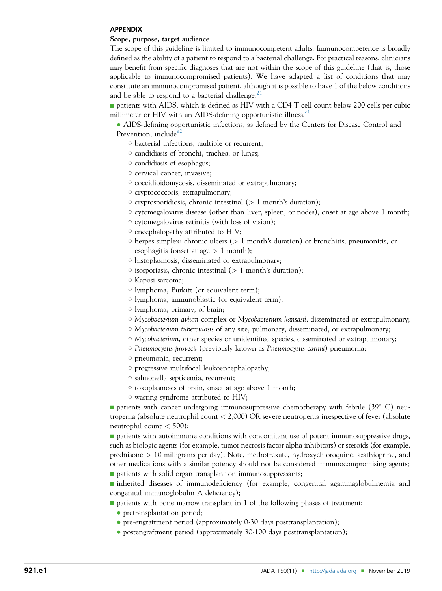#### <span id="page-16-0"></span>APPENDIX

#### Scope, purpose, target audience

The scope of this guideline is limited to immunocompetent adults. Immunocompetence is broadly defined as the ability of a patient to respond to a bacterial challenge. For practical reasons, clinicians may benefit from specific diagnoses that are not within the scope of this guideline (that is, those applicable to immunocompromised patients). We have adapted a list of conditions that may constitute an immunocompromised patient, although it is possible to have 1 of the below conditions and be able to respond to a bacterial challenge: $^{21}$  $^{21}$  $^{21}$ 

**n** patients with AIDS, which is defined as HIV with a CD4 T cell count below 200 cells per cubic millimeter or HIV with an AIDS-defining opportunistic illness.<sup>[e1](#page-19-0)</sup>

 AIDS-defining opportunistic infections, as defined by the Centers for Disease Control and Prevention, include<sup>[e2](#page-14-0)</sup>

- $\circ$  bacterial infections, multiple or recurrent;
- $\circ$  candidiasis of bronchi, trachea, or lungs;
- $\circ$  candidiasis of esophagus;
- $\circ$  cervical cancer, invasive;
- $\circ$  coccidioidomycosis, disseminated or extrapulmonary;
- $\circ$  cryptococcosis, extrapulmonary;
- $\circ$  cryptosporidiosis, chronic intestinal ( $> 1$  month's duration);
- $\circ$  cytomegalovirus disease (other than liver, spleen, or nodes), onset at age above 1 month;
- $\circ$  cytomegalovirus retinitis (with loss of vision);
- $\circ$  encephalopathy attributed to HIV;
- $\circ$  herpes simplex: chronic ulcers ( $> 1$  month's duration) or bronchitis, pneumonitis, or esophagitis (onset at age  $> 1$  month);
- $\circ$  histoplasmosis, disseminated or extrapulmonary;
- $\circ$  isosporiasis, chronic intestinal ( $> 1$  month's duration);
- $\circ$  Kaposi sarcoma;
- $\circ$  lymphoma, Burkitt (or equivalent term);
- $\circ$  lymphoma, immunoblastic (or equivalent term);
- o lymphoma, primary, of brain;
- $\circ$  Mycobacterium avium complex or Mycobacterium kansasii, disseminated or extrapulmonary;
- $\circ$  Mycobacterium tuberculosis of any site, pulmonary, disseminated, or extrapulmonary;
- $\circ$  Mycobacterium, other species or unidentified species, disseminated or extrapulmonary;
- $\circ$  Pneumocystis jirovecii (previously known as Pneumocystis carinii) pneumonia;
- $\circ$  pneumonia, recurrent;
- $\circ$  progressive multifocal leukoencephalopathy;
- $\circ$  salmonella septicemia, recurrent;
- $\circ$  toxoplasmosis of brain, onset at age above 1 month;
- $\circ$  wasting syndrome attributed to HIV;

**n** patients with cancer undergoing immunosuppressive chemotherapy with febrile  $(39^{\circ} \text{ C})$  neutropenia (absolute neutrophil count < 2,000) OR severe neutropenia irrespective of fever (absolute neutrophil count  $<$  500);

**n** patients with autoimmune conditions with concomitant use of potent immunosuppressive drugs, such as biologic agents (for example, tumor necrosis factor alpha inhibitors) or steroids (for example, prednisone > 10 milligrams per day). Note, methotrexate, hydroxychloroquine, azathioprine, and other medications with a similar potency should not be considered immunocompromising agents;  $\blacksquare$  patients with solid organ transplant on immunosuppressants;

<sup>n</sup> inherited diseases of immunodeficiency (for example, congenital agammaglobulinemia and congenital immunoglobulin A deficiency);

- $\blacksquare$  patients with bone marrow transplant in 1 of the following phases of treatment:
	- pretransplantation period;
	- pre-engraftment period (approximately 0-30 days posttransplantation);
	- postengraftment period (approximately 30-100 days posttransplantation);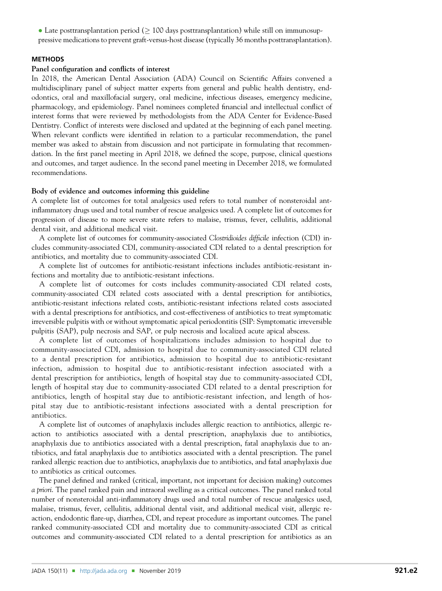<span id="page-17-0"></span>• Late posttransplantation period ( $\geq 100$  days posttransplantation) while still on immunosuppressive medications to prevent graft-versus-host disease (typically 36 months posttransplantation).

## **METHODS**

#### Panel configuration and conflicts of interest

In 2018, the American Dental Association (ADA) Council on Scientific Affairs convened a multidisciplinary panel of subject matter experts from general and public health dentistry, endodontics, oral and maxillofacial surgery, oral medicine, infectious diseases, emergency medicine, pharmacology, and epidemiology. Panel nominees completed financial and intellectual conflict of interest forms that were reviewed by methodologists from the ADA Center for Evidence-Based Dentistry. Conflict of interests were disclosed and updated at the beginning of each panel meeting. When relevant conflicts were identified in relation to a particular recommendation, the panel member was asked to abstain from discussion and not participate in formulating that recommendation. In the first panel meeting in April 2018, we defined the scope, purpose, clinical questions and outcomes, and target audience. In the second panel meeting in December 2018, we formulated recommendations.

#### Body of evidence and outcomes informing this guideline

A complete list of outcomes for total analgesics used refers to total number of nonsteroidal antinflammatory drugs used and total number of rescue analgesics used. A complete list of outcomes for progression of disease to more severe state refers to malaise, trismus, fever, cellulitis, additional dental visit, and additional medical visit.

A complete list of outcomes for community-associated Clostridioides difficile infection (CDI) includes community-associated CDI, community-associated CDI related to a dental prescription for antibiotics, and mortality due to community-associated CDI.

A complete list of outcomes for antibiotic-resistant infections includes antibiotic-resistant infections and mortality due to antibiotic-resistant infections.

A complete list of outcomes for costs includes community-associated CDI related costs, community-associated CDI related costs associated with a dental prescription for antibiotics, antibiotic-resistant infections related costs, antibiotic-resistant infections related costs associated with a dental prescriptions for antibiotics, and cost-effectiveness of antibiotics to treat symptomatic irreversible pulpitis with or without symptomatic apical periodontitis (SIP: Symptomatic irreversible pulpitis (SAP), pulp necrosis and SAP, or pulp necrosis and localized acute apical abscess.

A complete list of outcomes of hospitalizations includes admission to hospital due to community-associated CDI, admission to hospital due to community-associated CDI related to a dental prescription for antibiotics, admission to hospital due to antibiotic-resistant infection, admission to hospital due to antibiotic-resistant infection associated with a dental prescription for antibiotics, length of hospital stay due to community-associated CDI, length of hospital stay due to community-associated CDI related to a dental prescription for antibiotics, length of hospital stay due to antibiotic-resistant infection, and length of hospital stay due to antibiotic-resistant infections associated with a dental prescription for antibiotics.

A complete list of outcomes of anaphylaxis includes allergic reaction to antibiotics, allergic reaction to antibiotics associated with a dental prescription, anaphylaxis due to antibiotics, anaphylaxis due to antibiotics associated with a dental prescription, fatal anaphylaxis due to antibiotics, and fatal anaphylaxis due to antibiotics associated with a dental prescription. The panel ranked allergic reaction due to antibiotics, anaphylaxis due to antibiotics, and fatal anaphylaxis due to antibiotics as critical outcomes.

The panel defined and ranked (critical, important, not important for decision making) outcomes a priori. The panel ranked pain and intraoral swelling as a critical outcomes. The panel ranked total number of nonsteroidal anti-inflammatory drugs used and total number of rescue analgesics used, malaise, trismus, fever, cellulitis, additional dental visit, and additional medical visit, allergic reaction, endodontic flare-up, diarrhea, CDI, and repeat procedure as important outcomes. The panel ranked community-associated CDI and mortality due to community-associated CDI as critical outcomes and community-associated CDI related to a dental prescription for antibiotics as an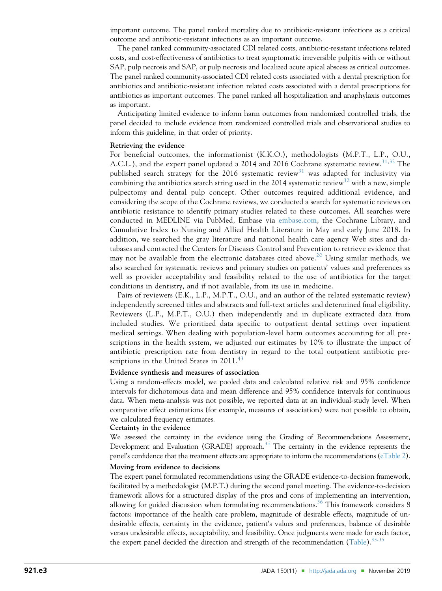important outcome. The panel ranked mortality due to antibiotic-resistant infections as a critical outcome and antibiotic-resistant infections as an important outcome.

The panel ranked community-associated CDI related costs, antibiotic-resistant infections related costs, and cost-effectiveness of antibiotics to treat symptomatic irreversible pulpitis with or without SAP, pulp necrosis and SAP, or pulp necrosis and localized acute apical abscess as critical outcomes. The panel ranked community-associated CDI related costs associated with a dental prescription for antibiotics and antibiotic-resistant infection related costs associated with a dental prescriptions for antibiotics as important outcomes. The panel ranked all hospitalization and anaphylaxis outcomes as important.

Anticipating limited evidence to inform harm outcomes from randomized controlled trials, the panel decided to include evidence from randomized controlled trials and observational studies to inform this guideline, in that order of priority.

#### Retrieving the evidence

For beneficial outcomes, the informationist (K.K.O.), methodologists (M.P.T., L.P., O.U., A.C.L.), and the expert panel updated a 2014 and 2016 Cochrane systematic review.<sup>[31,32](#page-15-0)</sup> The published search strategy for the 2016 systematic review<sup>[31](#page-15-0)</sup> was adapted for inclusivity via combining the antibiotics search string used in the 2014 systematic review<sup>[32](#page-15-0)</sup> with a new, simple pulpectomy and dental pulp concept. Other outcomes required additional evidence, and considering the scope of the Cochrane reviews, we conducted a search for systematic reviews on antibiotic resistance to identify primary studies related to these outcomes. All searches were conducted in MEDLINE via PubMed, Embase via [embase.com,](http://embase.com) the Cochrane Library, and Cumulative Index to Nursing and Allied Health Literature in May and early June 2018. In addition, we searched the gray literature and national health care agency Web sites and databases and contacted the Centers for Diseases Control and Prevention to retrieve evidence that may not be available from the electronic databases cited above.<sup>[20](#page-14-0)</sup> Using similar methods, we also searched for systematic reviews and primary studies on patients' values and preferences as well as provider acceptability and feasibility related to the use of antibiotics for the target conditions in dentistry, and if not available, from its use in medicine.

Pairs of reviewers (E.K., L.P., M.P.T., O.U., and an author of the related systematic review) independently screened titles and abstracts and full-text articles and determined final eligibility. Reviewers (L.P., M.P.T., O.U.) then independently and in duplicate extracted data from included studies. We prioritized data specific to outpatient dental settings over inpatient medical settings. When dealing with population-level harm outcomes accounting for all prescriptions in the health system, we adjusted our estimates by 10% to illustrate the impact of antibiotic prescription rate from dentistry in regard to the total outpatient antibiotic prescriptions in the United States in  $2011.^{43}$  $2011.^{43}$  $2011.^{43}$ 

#### Evidence synthesis and measures of association

Using a random-effects model, we pooled data and calculated relative risk and 95% confidence intervals for dichotomous data and mean difference and 95% confidence intervals for continuous data. When meta-analysis was not possible, we reported data at an individual-study level. When comparative effect estimations (for example, measures of association) were not possible to obtain, we calculated frequency estimates.

#### Certainty in the evidence

We assessed the certainty in the evidence using the Grading of Recommendations Assessment, Development and Evaluation (GRADE) approach.<sup>35</sup> The certainty in the evidence represents the panel's confidence that the treatment effects are appropriate to inform the recommendations ([eTable 2\)](#page-20-0).

#### Moving from evidence to decisions

The expert panel formulated recommendations using the GRADE evidence-to-decision framework, facilitated by a methodologist (M.P.T.) during the second panel meeting. The evidence-to-decision framework allows for a structured display of the pros and cons of implementing an intervention, allowing for guided discussion when formulating recommendations.<sup>[36](#page-15-0)</sup> This framework considers  $8$ factors: importance of the health care problem, magnitude of desirable effects, magnitude of undesirable effects, certainty in the evidence, patient's values and preferences, balance of desirable versus undesirable effects, acceptability, and feasibility. Once judgments were made for each factor, the expert panel decided the direction and strength of the recommendation [\(Table](#page-2-0)).<sup>[33-35](#page-15-0)</sup>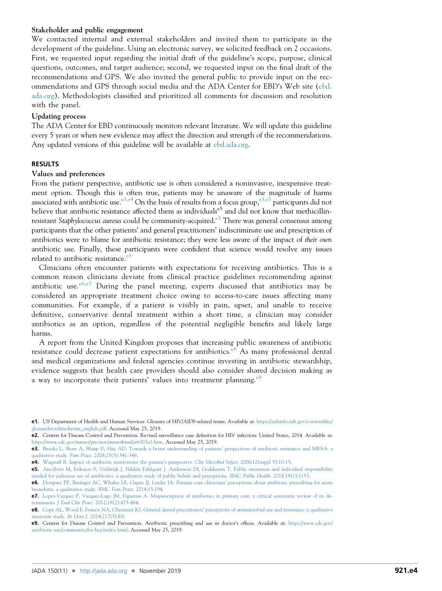# <span id="page-19-0"></span>Stakeholder and public engagement

We contacted internal and external stakeholders and invited them to participate in the development of the guideline. Using an electronic survey, we solicited feedback on 2 occasions. First, we requested input regarding the initial draft of the guideline's scope, purpose, clinical questions, outcomes, and target audience; second, we requested input on the final draft of the recommendations and GPS. We also invited the general public to provide input on the recommendations and GPS through social media and the ADA Center for EBD's Web site ([ebd.](http://ebd.ada.org) [ada.org](http://ebd.ada.org)). Methodologists classified and prioritized all comments for discussion and resolution with the panel.

## Updating process

The ADA Center for EBD continuously monitors relevant literature. We will update this guideline every 5 years or when new evidence may affect the direction and strength of the recommendations. Any updated versions of this guideline will be available at [ebd.ada.org](http://ebd.ada.org).

## RESULTS

#### Values and preferences

From the patient perspective, antibiotic use is often considered a noninvasive, inexpensive treatment option. Though this is often true, patients may be unaware of the magnitude of harms associated with antibiotic use.<sup>e3,e4</sup> On the basis of results from a focus group,<sup>e3,e5</sup> participants did not believe that antibiotic resistance affected them as individuals<sup>e5</sup> and did not know that methicillinresistant Staphylococcus aureus could be community-acquired.<sup>e3</sup> There was general consensus among participants that the other patients' and general practitioners' indiscriminate use and prescription of antibiotics were to blame for antibiotic resistance; they were less aware of the impact of their own antibiotic use. Finally, these participants were confident that science would resolve any issues related to antibiotic resistance. $e^{3}$ 

Clinicians often encounter patients with expectations for receiving antibiotics. This is a common reason clinicians deviate from clinical practice guidelines recommending against antibiotic use. $e^{6,e7}$  During the panel meeting, experts discussed that antibiotics may be considered an appropriate treatment choice owing to access-to-care issues affecting many communities. For example, if a patient is visibly in pain, upset, and unable to receive definitive, conservative dental treatment within a short time, a clinician may consider antibiotics as an option, regardless of the potential negligible benefits and likely large harms.

A report from the United Kingdom proposes that increasing public awareness of antibiotic resistance could decrease patient expectations for antibiotics. $e^{8}$  As many professional dental and medical organizations and federal agencies continue investing in antibiotic stewardship, evidence suggests that health care providers should also consider shared decision making as a way to incorporate their patients' values into treatment planning.<sup>e9</sup>

e1. US Department of Health and Human Services. Glossary of HIV/AIDS-related terms. Available at: [https://aidsinfo.nih.gov/content](https://aidsinfo.nih.gov/contentfiles/glossaryhivrelatedterms_english.pdf)files/ [glossaryhivrelatedterms\\_english.pdf.](https://aidsinfo.nih.gov/contentfiles/glossaryhivrelatedterms_english.pdf) Accessed May 25, 2019.

e2. Centers for Disease Control and Prevention. Revised surveillance case definition for HIV infection: United States, 2014. Available at: <https://www.cdc.gov/mmwr/preview/mmwrhtml/rr6303a1.htm>. Accessed May 25, 2019.

e3. [Brooks L, Shaw A, Sharp D, Hay AD. Towards a better understanding of patients](http://refhub.elsevier.com/S0002-8177(19)30617-8/sref77)' perspectives of antibiotic resistance and MRSA: a qualitative study. Fam Pract[. 2008;25\(5\):341-348](http://refhub.elsevier.com/S0002-8177(19)30617-8/sref77).

e4. [Wagstaff B. Impact of antibiotic restrictions: the patient](http://refhub.elsevier.com/S0002-8177(19)30617-8/sref78)'s perspective. Clin Microbiol Infect. 2006;12(suppl 5):10-15.

e5. [Ancillotti M, Eriksson S, Veldwijk J, Nihlén Fahlquist J, Andersson DI, Godskesen T. Public awareness and individual responsibility](http://refhub.elsevier.com/S0002-8177(19)30617-8/sref79) [needed for judicious use of antibiotics: a qualitative study of public beliefs and perceptions.](http://refhub.elsevier.com/S0002-8177(19)30617-8/sref79) BMC Public Health. 2018;18(1):1153.

e6. [Dempsey PP, Businger AC, Whaley LE, Gagne JJ, Linder JA. Primary care clinicians](http://refhub.elsevier.com/S0002-8177(19)30617-8/sref80)' perceptions about antibiotic prescribing for acute [bronchitis: a qualitative study.](http://refhub.elsevier.com/S0002-8177(19)30617-8/sref80) BMC Fam Pract. 2014;15:194.

e7. [Lopez-Vazquez P, Vazquez-Lago JM, Figueiras A. Misprescription of antibiotics in primary care: a critical systematic review of its de](http://refhub.elsevier.com/S0002-8177(19)30617-8/sref81)terminants. J Eval Clin Pract[. 2012;18\(2\):473-484.](http://refhub.elsevier.com/S0002-8177(19)30617-8/sref81)

e8. [Cope AL, Wood F, Francis NA, Chestnutt IG. General dental practitioners](http://refhub.elsevier.com/S0002-8177(19)30617-8/sref82)' perceptions of antimicrobial use and resistance: a qualitative interview study. Br Dent J[. 2014;217\(5\):E9.](http://refhub.elsevier.com/S0002-8177(19)30617-8/sref82)

e9. Centers for Disease Control and Prevention. Antibiotic prescribing and use in doctor's offices. Available at: [https://www.cdc.gov/](https://www.cdc.gov/antibiotic-use/community/for-hcp/index.html) [antibiotic-use/community/for-hcp/index.html.](https://www.cdc.gov/antibiotic-use/community/for-hcp/index.html) Accessed May 25, 2019.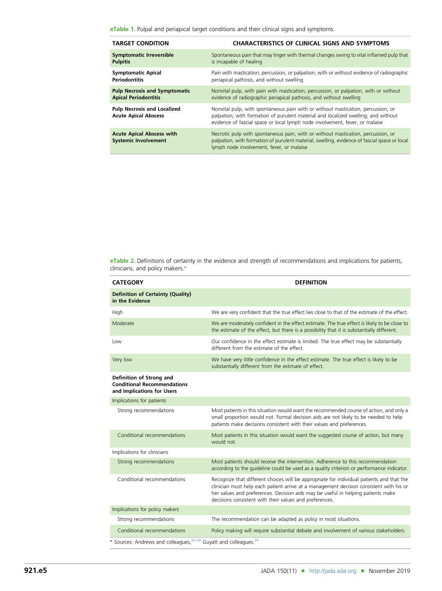<span id="page-20-0"></span>eTable 1. Pulpal and periapical target conditions and their clinical signs and symptoms.

| <b>TARGET CONDITION</b>                                           | <b>CHARACTERISTICS OF CLINICAL SIGNS AND SYMPTOMS</b>                                                                                                                                                                                                  |
|-------------------------------------------------------------------|--------------------------------------------------------------------------------------------------------------------------------------------------------------------------------------------------------------------------------------------------------|
| <b>Symptomatic Irreversible</b>                                   | Spontaneous pain that may linger with thermal changes owing to vital inflamed pulp that                                                                                                                                                                |
| <b>Pulpitis</b>                                                   | is incapable of healing                                                                                                                                                                                                                                |
| <b>Symptomatic Apical</b>                                         | Pain with mastication, percussion, or palpation, with or without evidence of radiographic                                                                                                                                                              |
| <b>Periodontitis</b>                                              | periapical pathosis, and without swelling                                                                                                                                                                                                              |
| <b>Pulp Necrosis and Symptomatic</b>                              | Nonvital pulp, with pain with mastication, percussion, or palpation, with or without                                                                                                                                                                   |
| <b>Apical Periodontitis</b>                                       | evidence of radiographic periapical pathosis, and without swelling                                                                                                                                                                                     |
| <b>Pulp Necrosis and Localized</b><br><b>Acute Apical Abscess</b> | Nonvital pulp, with spontaneous pain with or without mastication, percussion, or<br>palpation; with formation of purulent material and localized swelling; and without<br>evidence of fascial space or local lymph node involvement, fever, or malaise |
| <b>Acute Apical Abscess with</b><br><b>Systemic Involvement</b>   | Necrotic pulp with spontaneous pain, with or without mastication, percussion, or<br>palpation, with formation of purulent material, swelling, evidence of fascial space or local<br>lymph node involvement, fever, or malaise                          |

eTable 2. Definitions of certainty in the evidence and strength of recommendations and implications for patients, clinicians, and policy makers.\*

| <b>CATEGORY</b>                                                                              | <b>DEFINITION</b>                                                                                                                                                                                                                                                                                                                   |  |  |  |
|----------------------------------------------------------------------------------------------|-------------------------------------------------------------------------------------------------------------------------------------------------------------------------------------------------------------------------------------------------------------------------------------------------------------------------------------|--|--|--|
| <b>Definition of Certainty (Quality)</b><br>in the Evidence                                  |                                                                                                                                                                                                                                                                                                                                     |  |  |  |
| High                                                                                         | We are very confident that the true effect lies close to that of the estimate of the effect.                                                                                                                                                                                                                                        |  |  |  |
| Moderate                                                                                     | We are moderately confident in the effect estimate. The true effect is likely to be close to<br>the estimate of the effect, but there is a possibility that it is substantially different.                                                                                                                                          |  |  |  |
| Low                                                                                          | Our confidence in the effect estimate is limited. The true effect may be substantially<br>different from the estimate of the effect.                                                                                                                                                                                                |  |  |  |
| Very low                                                                                     | We have very little confidence in the effect estimate. The true effect is likely to be<br>substantially different from the estimate of effect.                                                                                                                                                                                      |  |  |  |
| Definition of Strong and<br><b>Conditional Recommendations</b><br>and Implications for Users |                                                                                                                                                                                                                                                                                                                                     |  |  |  |
| Implications for patients                                                                    |                                                                                                                                                                                                                                                                                                                                     |  |  |  |
| Strong recommendations                                                                       | Most patients in this situation would want the recommended course of action, and only a<br>small proportion would not. Formal decision aids are not likely to be needed to help<br>patients make decisions consistent with their values and preferences.                                                                            |  |  |  |
| Conditional recommendations                                                                  | Most patients in this situation would want the suggested course of action, but many<br>would not.                                                                                                                                                                                                                                   |  |  |  |
| Implications for clinicians                                                                  |                                                                                                                                                                                                                                                                                                                                     |  |  |  |
| Strong recommendations                                                                       | Most patients should receive the intervention. Adherence to this recommendation<br>according to the quideline could be used as a quality criterion or performance indicator.                                                                                                                                                        |  |  |  |
| Conditional recommendations                                                                  | Recognize that different choices will be appropriate for individual patients and that the<br>clinician must help each patient arrive at a management decision consistent with his or<br>her values and preferences. Decision aids may be useful in helping patients make<br>decisions consistent with their values and preferences. |  |  |  |
| Implications for policy makers                                                               |                                                                                                                                                                                                                                                                                                                                     |  |  |  |
| Strong recommendations                                                                       | The recommendation can be adapted as policy in most situations.                                                                                                                                                                                                                                                                     |  |  |  |
| Conditional recommendations                                                                  | Policy making will require substantial debate and involvement of various stakeholders.                                                                                                                                                                                                                                              |  |  |  |
| * Sources: Andrews and colleagues, <sup>33,34</sup> Guyatt and colleagues. <sup>35</sup>     |                                                                                                                                                                                                                                                                                                                                     |  |  |  |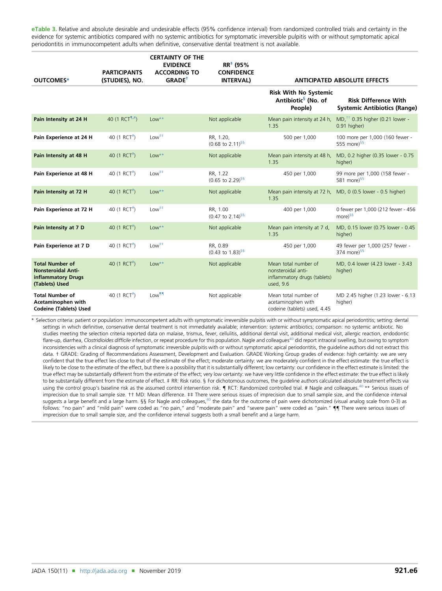<span id="page-21-0"></span>eTable 3. Relative and absolute desirable and undesirable effects (95% confidence interval) from randomized controlled trials and certainty in the evidence for systemic antibiotics compared with no systemic antibiotics for symptomatic irreversible pulpitis with or without symptomatic apical periodontitis in immunocompetent adults when definitive, conservative dental treatment is not available.

| OUTCOMES*                                                                                   | <b>PARTICIPANTS</b><br>(STUDIES), NO. | <b>CERTAINTY OF THE</b><br><b>EVIDENCE</b><br><b>ACCORDING TO</b><br><b>GRADE<sup>+</sup></b> | $RR^*$ (95%<br><b>CONFIDENCE</b><br><b>INTERVAL)</b> |                                                                                         | <b>ANTICIPATED ABSOLUTE EFFECTS</b>                                |
|---------------------------------------------------------------------------------------------|---------------------------------------|-----------------------------------------------------------------------------------------------|------------------------------------------------------|-----------------------------------------------------------------------------------------|--------------------------------------------------------------------|
|                                                                                             |                                       |                                                                                               |                                                      | <b>Risk With No Systemic</b><br>Antibiotic <sup>§</sup> (No. of<br>People)              | <b>Risk Difference With</b><br><b>Systemic Antibiotics (Range)</b> |
| Pain Intensity at 24 H                                                                      | 40 (1 RCT <sup>1,#</sup> )            | $Low**$                                                                                       | Not applicable                                       | Mean pain intensity at 24 h,<br>1.35                                                    | MD, <sup>††</sup> 0.35 higher (0.21 lower -<br>0.91 higher)        |
| Pain Experience at 24 H                                                                     | 40 $(1 RCT^*)$                        | $Low++$                                                                                       | RR, 1.20,<br>$(0.68 \text{ to } 2.11)^{55}$          | 500 per 1,000                                                                           | 100 more per 1,000 (160 fewer -<br>555 more) $$5$                  |
| Pain Intensity at 48 H                                                                      | 40 (1 RCT <sup>#</sup> )              | $Low***$                                                                                      | Not applicable                                       | Mean pain intensity at 48 h,<br>1.35                                                    | MD, 0.2 higher (0.35 lower - 0.75<br>higher)                       |
| Pain Experience at 48 H                                                                     | 40 (1 RCT <sup>#</sup> )              | $Low++$                                                                                       | RR, 1.22<br>$(0.65 \text{ to } 2.29)^{55}$           | 450 per 1,000                                                                           | 99 more per 1,000 (158 fewer -<br>581 more $9^{55}$                |
| Pain Intensity at 72 H                                                                      | 40 (1 RCT <sup>#</sup> )              | $Low***$                                                                                      | Not applicable                                       | 1.35                                                                                    | Mean pain intensity at 72 h, MD, 0 (0.5 lower - 0.5 higher)        |
| Pain Experience at 72 H                                                                     | 40 (1 RCT <sup>#</sup> )              | $Low++$                                                                                       | RR, 1.00<br>$(0.47 \text{ to } 2.14)^{\frac{5}{5}}$  | 400 per 1,000                                                                           | 0 fewer per 1,000 (212 fewer - 456<br>more) <sup>§§</sup>          |
| Pain Intensity at 7 D                                                                       | 40 (1 RCT <sup>#</sup> )              | $Low***$                                                                                      | Not applicable                                       | Mean pain intensity at 7 d,<br>1.35                                                     | MD, 0.15 lower (0.75 lower - 0.45<br>higher)                       |
| Pain Experience at 7 D                                                                      | 40 $(1 RCT^*)$                        | $Low++$                                                                                       | RR, 0.89<br>$(0.43 \text{ to } 1.83)^{55}$           | 450 per 1,000                                                                           | 49 fewer per 1,000 (257 fewer -<br>374 more) $55$                  |
| <b>Total Number of</b><br><b>Nonsteroidal Anti-</b><br>inflammatory Drugs<br>(Tablets) Used | 40 (1 RCT <sup>#</sup> )              | $Low***$                                                                                      | Not applicable                                       | Mean total number of<br>nonsteroidal anti-<br>inflammatory drugs (tablets)<br>used, 9.6 | MD, 0.4 lower (4.23 lower - 3.43<br>higher)                        |
| <b>Total Number of</b><br>Acetaminophen with<br><b>Codeine (Tablets) Used</b>               | 40 (1 RCT <sup>#</sup> )              | Low <sup>11</sup>                                                                             | Not applicable                                       | Mean total number of<br>acetaminophen with<br>codeine (tablets) used, 4.45              | MD 2.45 higher (1.23 lower - 6.13<br>higher)                       |

\* Selection criteria: patient or population: immunocompetent adults with symptomatic irreversible pulpitis with or without symptomatic apical periodontitis; setting: dental settings in which definitive, conservative dental treatment is not immediately available; intervention: systemic antibiotics; comparison: no systemic antibiotic. No studies meeting the selection criteria reported data on malaise, trismus, fever, cellulitis, additional dental visit, additional medical visit, allergic reaction, endodontic flare-up, diarrhea, Clostridioides difficile infection, or repeat procedure for this population. Nagle and colleagues<sup>40</sup> did report intraoral swelling, but owing to symptom inconsistencies with a clinical diagnosis of symptomatic irreversible pulpitis with or without symptomatic apical periodontitis, the guideline authors did not extract this data. † GRADE: Grading of Recommendations Assessment, Development and Evaluation. GRADE Working Group grades of evidence: high certainty: we are very confident that the true effect lies close to that of the estimate of the effect; moderate certainty: we are moderately confident in the effect estimate: the true effect is likely to be close to the estimate of the effect, but there is a possibility that it is substantially different; low certainty: our confidence in the effect estimate is limited: the true effect may be substantially different from the estimate of the effect; very low certainty: we have very little confidence in the effect estimate: the true effect is likely to be substantially different from the estimate of effect.  $\pm$  RR: Risk ratio. § For dichotomous outcomes, the quideline authors calculated absolute treatment effects via using the control group's baseline risk as the assumed control intervention risk.  $\P$  RCT: Randomized controlled trial. # Nagle and colleagues.<sup>[40](#page-15-0)</sup> \*\* Serious issues of imprecision due to small sample size. †† MD: Mean difference. ‡‡ There were serious issues of imprecision due to small sample size, and the confidence interval suggests a large benefit and a large harm. §§ For Nagle and colleagues, $^{40}$  $^{40}$  $^{40}$  the data for the outcome of pain were dichotomized (visual analog scale from 0-3) as follows: "no pain" and "mild pain" were coded as "no pain," and "moderate pain" and "severe pain" were coded as "pain."  $\P$  There were serious issues of imprecision due to small sample size, and the confidence interval suggests both a small benefit and a large harm.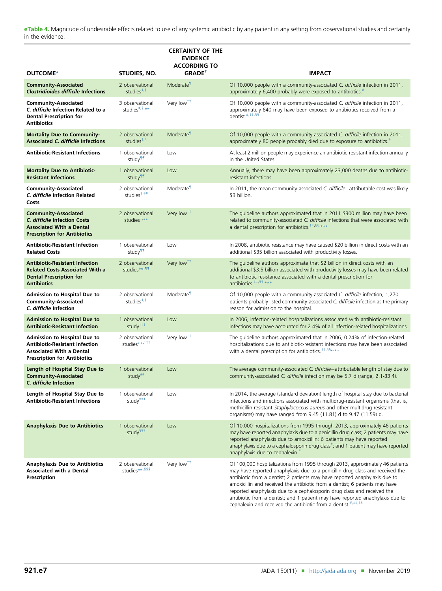<span id="page-22-0"></span>eTable 4. Magnitude of undesirable effects related to use of any systemic antibiotic by any patient in any setting from observational studies and certainty in the evidence.

|                                                                                                                                                        |                                                       | <b>CERTAINTY OF THE</b><br><b>EVIDENCE</b><br><b>ACCORDING TO</b> |                                                                                                                                                                                                                                                                                                                                                                                                                                                                                                                                                                      |
|--------------------------------------------------------------------------------------------------------------------------------------------------------|-------------------------------------------------------|-------------------------------------------------------------------|----------------------------------------------------------------------------------------------------------------------------------------------------------------------------------------------------------------------------------------------------------------------------------------------------------------------------------------------------------------------------------------------------------------------------------------------------------------------------------------------------------------------------------------------------------------------|
| OUTCOME*                                                                                                                                               | STUDIES, NO.                                          | GRADE <sup>†</sup>                                                | <b>IMPACT</b>                                                                                                                                                                                                                                                                                                                                                                                                                                                                                                                                                        |
| <b>Community-Associated</b><br><b>Clostridioides difficile Infections</b>                                                                              | 2 observational<br>studies $*$ , §                    | Moderate <sup>1</sup>                                             | Of 10,000 people with a community-associated C. difficile infection in 2011,<br>approximately 6,400 probably were exposed to antibiotics. <sup>#</sup>                                                                                                                                                                                                                                                                                                                                                                                                               |
| <b>Community-Associated</b><br>C. difficile Infection Related to a<br><b>Dental Prescription for</b><br><b>Antibiotics</b>                             | 3 observational<br>studies <sup>#,§,**</sup>          | Very low <sup>++</sup>                                            | Of 10,000 people with a community-associated C. difficile infection in 2011,<br>approximately 640 may have been exposed to antibiotics received from a<br>dentist. <sup>#,##,§§</sup>                                                                                                                                                                                                                                                                                                                                                                                |
| <b>Mortality Due to Community-</b><br><b>Associated C. difficile Infections</b>                                                                        | 2 observational<br>studies $*$ , §                    | Moderate <sup>1</sup>                                             | Of 10,000 people with a community-associated C. difficile infection in 2011,<br>approximately 80 people probably died due to exposure to antibiotics. <sup>#</sup>                                                                                                                                                                                                                                                                                                                                                                                                   |
| <b>Antibiotic-Resistant Infections</b>                                                                                                                 | 1 observational<br>study <sup>11</sup>                | Low                                                               | At least 2 million people may experience an antibiotic-resistant infection annually<br>in the United States.                                                                                                                                                                                                                                                                                                                                                                                                                                                         |
| <b>Mortality Due to Antibiotic-</b><br><b>Resistant Infections</b>                                                                                     | 1 observational<br>study <sup>11</sup>                | Low                                                               | Annually, there may have been approximately 23,000 deaths due to antibiotic-<br>resistant infections.                                                                                                                                                                                                                                                                                                                                                                                                                                                                |
| <b>Community-Associated</b><br>C. difficile Infection Related<br>Costs                                                                                 | 2 observational<br>studies $*$ ,##                    | Moderate <sup>1</sup>                                             | In 2011, the mean community-associated C. difficile-attributable cost was likely<br>\$3 billion.                                                                                                                                                                                                                                                                                                                                                                                                                                                                     |
| <b>Community-Associated</b><br>C. difficile Infection Costs<br><b>Associated With a Dental</b><br><b>Prescription for Antibiotics</b>                  | 2 observational<br>studies $\stackrel{+}{\text{***}}$ | Very low <sup>††</sup>                                            | The guideline authors approximated that in 2011 \$300 million may have been<br>related to community-associated C. difficile infections that were associated with<br>a dental prescription for antibiotics. <sup>##,§§,***</sup>                                                                                                                                                                                                                                                                                                                                      |
| <b>Antibiotic-Resistant Infection</b><br><b>Related Costs</b>                                                                                          | 1 observational<br>study <sup>11</sup>                | Low                                                               | In 2008, antibiotic resistance may have caused \$20 billion in direct costs with an<br>additional \$35 billion associated with productivity losses.                                                                                                                                                                                                                                                                                                                                                                                                                  |
| <b>Antibiotic-Resistant Infection</b><br><b>Related Costs Associated With a</b><br><b>Dental Prescription for</b><br><b>Antibiotics</b>                | 2 observational<br>studies** <sup>,¶¶</sup>           | Very low <sup>††</sup>                                            | The guideline authors approximate that \$2 billion in direct costs with an<br>additional \$3.5 billion associated with productivity losses may have been related<br>to antibiotic resistance associated with a dental prescription for<br>antibiotics. <sup>##,§§</sup> ***                                                                                                                                                                                                                                                                                          |
| <b>Admission to Hospital Due to</b><br><b>Community-Associated</b><br>C. difficile Infection                                                           | 2 observational<br>studies <sup>#,§</sup>             | Moderate <sup>1</sup>                                             | Of 10,000 people with a community-associated C. difficile infection, 1,270<br>patients probably listed community-associated C. difficile infection as the primary<br>reason for admission to the hospital.                                                                                                                                                                                                                                                                                                                                                           |
| <b>Admission to Hospital Due to</b><br><b>Antibiotic-Resistant Infection</b>                                                                           | 1 observational<br>study $^{+++}$                     | Low                                                               | In 2006, infection-related hospitalizations associated with antibiotic-resistant<br>infections may have accounted for 2.4% of all infection-related hospitalizations.                                                                                                                                                                                                                                                                                                                                                                                                |
| <b>Admission to Hospital Due to</b><br><b>Antibiotic-Resistant Infection</b><br><b>Associated With a Dental</b><br><b>Prescription for Antibiotics</b> | 2 observational<br>studies** <sup>,†††</sup>          | Very low <sup>††</sup>                                            | The guideline authors approximated that in 2006, 0.24% of infection-related<br>hospitalizations due to antibiotic-resistant infections may have been associated<br>with a dental prescription for antibiotics. *** \$5.***                                                                                                                                                                                                                                                                                                                                           |
| Length of Hospital Stay Due to<br><b>Community-Associated</b><br>C. difficile Infection                                                                | 1 observational<br>study $\#$ #                       | Low                                                               | The average community-associated C. difficile-attributable length of stay due to<br>community-associated C. difficile infection may be 5.7 d (range, 2.1-33.4).                                                                                                                                                                                                                                                                                                                                                                                                      |
| Length of Hospital Stay Due to<br><b>Antibiotic-Resistant Infections</b>                                                                               | 1 observational<br>study <sup>###</sup>               | Low                                                               | In 2014, the average (standard deviation) length of hospital stay due to bacterial<br>infections and infections associated with multidrug-resistant organisms (that is,<br>methicillin-resistant Staphylococcus aureus and other multidrug-resistant<br>organisms) may have ranged from 9.45 (11.81) d to 9.47 (11.59) d.                                                                                                                                                                                                                                            |
| <b>Anaphylaxis Due to Antibiotics</b>                                                                                                                  | 1 observational<br>study <sup>§§§</sup>               | Low                                                               | Of 10,000 hospitalizations from 1995 through 2013, approximately 46 patients<br>may have reported anaphylaxis due to a penicillin drug class; 2 patients may have<br>reported anaphylaxis due to amoxicillin; 6 patients may have reported<br>anaphylaxis due to a cephalosporin drug class <sup>#</sup> ; and 1 patient may have reported<br>anaphylaxis due to cephalexin. <sup>#</sup>                                                                                                                                                                            |
| <b>Anaphylaxis Due to Antibiotics</b><br><b>Associated with a Dental</b><br>Prescription                                                               | 2 observational<br>studies**,§§§                      | Very low <sup>++</sup>                                            | Of 100,000 hospitalizations from 1995 through 2013, approximately 46 patients<br>may have reported anaphylaxis due to a penicillin drug class and received the<br>antibiotic from a dentist; 2 patients may have reported anaphylaxis due to<br>amoxicillin and received the antibiotic from a dentist; 6 patients may have<br>reported anaphylaxis due to a cephalosporin drug class and received the<br>antibiotic from a dentist; and 1 patient may have reported anaphylaxis due to<br>cephalexin and received the antibiotic from a dentist. <sup>#,##,§§</sup> |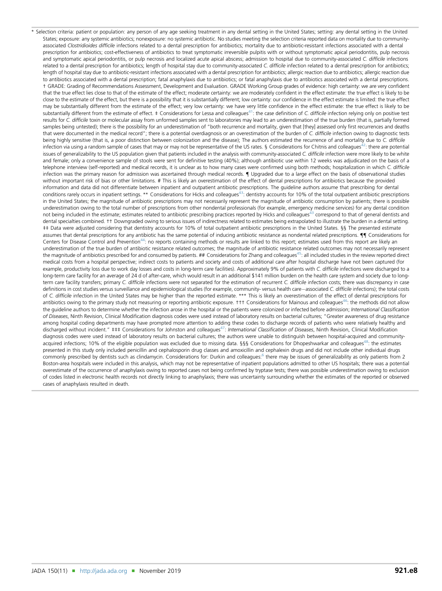<span id="page-23-0"></span>\* Selection criteria: patient or population: any person of any age seeking treatment in any dental setting in the United States; setting: any dental setting in the United States; exposure: any systemic antibiotics; nonexposure: no systemic antibiotic. No studies meeting the selection criteria reported data on mortality due to communityassociated Clostridioides difficile infections related to a dental prescription for antibiotics; mortality due to antibiotic-resistant infections associated with a dental prescription for antibiotics; cost-effectiveness of antibiotics to treat symptomatic irreversible pulpitis with or without symptomatic apical periodontitis, pulp necrosis and symptomatic apical periodontitis, or pulp necrosis and localized acute apical abscess; admission to hospital due to community-associated C. difficile infections related to a dental prescription for antibiotics; length of hospital stay due to community-associated C. difficile infection related to a dental prescription for antibiotics; length of hospital stay due to antibiotic-resistant infections associated with a dental prescription for antibiotics; allergic reaction due to antibiotics; allergic reaction due to antibiotics associated with a dental prescription; fatal anaphylaxis due to antibiotics; or fatal anaphylaxis due to antibiotics associated with a dental prescriptions. † GRADE: Grading of Recommendations Assessment, Development and Evaluation. GRADE Working Group grades of evidence: high certainty: we are very confident that the true effect lies close to that of the estimate of the effect; moderate certainty: we are moderately confident in the effect estimate: the true effect is likely to be close to the estimate of the effect, but there is a possibility that it is substantially different; low certainty: our confidence in the effect estimate is limited: the true effect may be substantially different from the estimate of the effect; very low certainty: we have very little confidence in the effect estimate: the true effect is likely to be substantially different from the estimate of effect. ‡ Considerations for Lessa and colleagues<sup>41</sup>: the case definition of C. difficile infection relying only on positive test results for C. difficile toxin or molecular assay from unformed samples sent to laboratories may lead to an underestimation of the true burden (that is, partially formed samples being untested); there is the possibility for an underestimation of "both recurrence and mortality, given that [they] assessed only first recurrences and deaths that were documented in the medical record"; there is a potential overdiagnosis or an overestimation of the burden of C. difficile infection owing to diagnostic tests being highly sensitive (that is, a poor distinction between colonization and the disease); The authors estimated the recurrence of and mortality due to C. difficile infection via using a random sample of cases that may or may not be representative of the US rates. § Considerations for Chitnis and colleagues<sup>42</sup>: there are potential issues of generalizability to the US population given that patients included in the analysis with community-associated C. difficile infection were more likely to be white and female; only a convenience sample of stools were sent for definitive testing (40%); although antibiotic use within 12 weeks was adjudicated on the basis of a telephone interview (self-reported) and medical records, it is unclear as to how many cases were confirmed using both methods; hospitalization in which C. difficile infection was the primary reason for admission was ascertained through medical records.  $\P$  Upgraded due to a large effect on the basis of observational studies without important risk of bias or other limitations. # This is likely an overestimation of the effect of dental prescriptions for antibiotics because the provided information and data did not differentiate between inpatient and outpatient antibiotic prescriptions. The guideline authors assume that prescribing for dental conditions rarely occurs in inpatient settings. \*\* Considerations for Hicks and colleagues<sup>43</sup>: dentistry accounts for 10% of the total outpatient antibiotic prescriptions in the United States; the magnitude of antibiotic prescriptions may not necessarily represent the magnitude of antibiotic consumption by patients; there is possible underestimation owing to the total number of prescriptions from other nondental professionals (for example, emergency medicine services) for any dental condition not being included in the estimate; estimates related to antibiotic prescribing practices reported by Hicks and colleagues<sup>[43](#page-15-0)</sup> correspond to that of general dentists and dental specialties combined. †† Downgraded owing to serious issues of indirectness related to estimates being extrapolated to illustrate the burden in a dental setting. ‡‡ Data were adjusted considering that dentistry accounts for 10% of total outpatient antibiotic prescriptions in the United States. §§ The presented estimate assumes that dental prescriptions for any antibiotic has the same potential of inducing antibiotic resistance as nondental related prescriptions.  $\P$  Considerations for Centers for Disease Control and Prevention<sup>44</sup>: no reports containing methods or results are linked to this report; estimates used from this report are likely an underestimation of the true burden of antibiotic resistance related outcomes; the magnitude of antibiotic resistance related outcomes may not necessarily represent the magnitude of antibiotics prescribed for and consumed by patients. ## Considerations for Zhang and colleagues<sup>45</sup>: all included studies in the review reported direct medical costs from a hospital perspective; indirect costs to patients and society and costs of additional care after hospital discharge have not been captured (for example, productivity loss due to work day losses and costs in long-term care facilities). Approximately 9% of patients with C. difficile infections were discharged to a long-term care facility for an average of 24 d of after-care, which would result in an additional \$141 million burden on the health care system and society due to longterm care facility transfers; primary C. difficile infections were not separated for the estimation of recurrent C. difficile infection costs; there was discrepancy in case definitions in cost studies versus surveillance and epidemiological studies (for example, community- versus health care-associated C. difficile infections); the total costs of C. difficile infection in the United States may be higher than the reported estimate. \*\*\* This is likely an overestimation of the effect of dental prescriptions for antibiotics owing to the primary study not measuring or reporting antibiotic exposure. ††† Considerations for Mainous and colleagues<sup>46</sup>: the methods did not allow the quideline authors to determine whether the infection arose in the hospital or the patients were colonized or infected before admission; International Classification of Diseases, Ninth Revision, Clinical Modification diagnosis codes were used instead of laboratory results on bacterial cultures; "Greater awareness of drug resistance among hospital coding departments may have prompted more attention to adding these codes to discharge records of patients who were relatively healthy and discharged without incident." ‡‡‡ Considerations for Johnston and colleagues<sup>47</sup>: *International Classification of Diseases*, Ninth Revision, Clinical Modification diagnosis codes were used instead of laboratory results on bacterial cultures; the authors were unable to distinguish between hospital-acquired and community-acquired infections; 10% of the eligible population was excluded due to missing data. §§§ Considerations for Dhopeshwarkar and colleagues<sup>[48](#page-15-0)</sup>: the estimates presented in this study only included penicillin and cephalosporin drug classes and amoxicillin and cephalexin drugs and did not include other individual drugs commonly prescribed by dentists such as clindamycin. Considerations for: Durkin and colleagues:<sup>[6](#page-14-0)</sup> there may be issues of generalizability as only patients from 2 Boston-area hospitals were included in this analysis, which may not be representative of inpatient populations admitted to other US hospitals; there was a potential overestimate of the occurrence of anaphylaxis owing to reported cases not being confirmed by tryptase tests; there was possible underestimation owing to exclusion of codes listed in electronic health records not directly linking to anaphylaxis; there was uncertainty surrounding whether the estimates of the reported or observed cases of anaphylaxis resulted in death.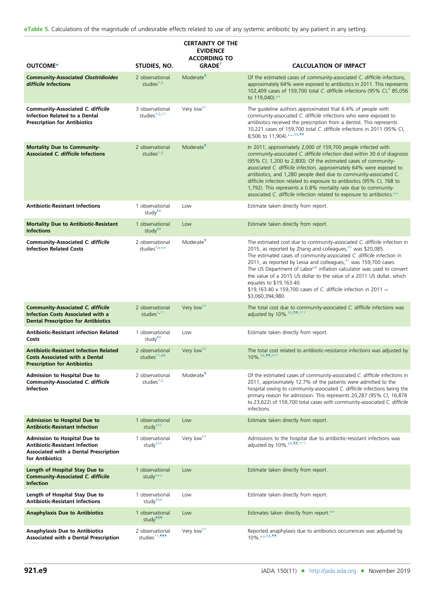<span id="page-24-0"></span>eTable 5. Calculations of the magnitude of undesirable effects related to use of any systemic antibiotic by any patient in any setting.

|                                                                                                                                          |                                                            | <b>CERTAINTY OF THE</b><br><b>EVIDENCE</b><br><b>ACCORDING TO</b> |                                                                                                                                                                                                                                                                                                                                                                                                                                                                                                                                                                                            |
|------------------------------------------------------------------------------------------------------------------------------------------|------------------------------------------------------------|-------------------------------------------------------------------|--------------------------------------------------------------------------------------------------------------------------------------------------------------------------------------------------------------------------------------------------------------------------------------------------------------------------------------------------------------------------------------------------------------------------------------------------------------------------------------------------------------------------------------------------------------------------------------------|
| OUTCOME*                                                                                                                                 | STUDIES, NO.                                               | $GRADE$ <sup>†</sup>                                              | <b>CALCULATION OF IMPACT</b>                                                                                                                                                                                                                                                                                                                                                                                                                                                                                                                                                               |
| <b>Community-Associated Clostridioides</b><br>difficile Infections                                                                       | 2 observational<br>studies $*$ , §                         | Moderate <sup>1</sup>                                             | Of the estimated cases of community-associated C. difficile infections,<br>approximately 64% were exposed to antibiotics in 2011. This represents<br>102,409 cases of 159,700 total C. difficile infections (95% CI,# 85,056<br>to 119,040).**                                                                                                                                                                                                                                                                                                                                             |
| <b>Community-Associated C. difficile</b><br>Infection Related to a Dental<br><b>Prescription for Antibiotics</b>                         | 3 observational<br>studies <sup>#,§,††</sup>               | Very low <sup>##</sup>                                            | The guideline authors approximated that 6.4% of people with<br>community-associated C. difficile infections who were exposed to<br>antibiotics received the prescription from a dentist. This represents<br>10,221 cases of 159,700 total C. difficile infections in 2011 (95% CI,<br>8,506 to 11,904).*** \$\$.11                                                                                                                                                                                                                                                                         |
| <b>Mortality Due to Community-</b><br><b>Associated C. difficile Infections</b>                                                          | 2 observational<br>studies $*$ , §                         | Moderate <sup>1</sup>                                             | In 2011, approximately 2,000 of 159,700 people infected with<br>community-associated C. difficile infection died within 30 d of diagnosis<br>(95% CI, 1,200 to 2,800). Of the estimated cases of community-<br>associated C. difficile infection, approximately 64% were exposed to<br>antibiotics, and 1,280 people died due to community-associated C.<br>difficile infection related to exposure to antibiotics (95% CI, 768 to<br>1,792). This represents a 0.8% mortality rate due to community-<br>associated C. difficile infection related to exposure to antibiotics.**           |
| <b>Antibiotic-Resistant Infections</b>                                                                                                   | 1 observational<br>study <sup>##</sup>                     | Low                                                               | Estimate taken directly from report.                                                                                                                                                                                                                                                                                                                                                                                                                                                                                                                                                       |
| <b>Mortality Due to Antibiotic-Resistant</b><br><b>Infections</b>                                                                        | 1 observational<br>study <sup>##</sup>                     | Low                                                               | Estimate taken directly from report.                                                                                                                                                                                                                                                                                                                                                                                                                                                                                                                                                       |
| <b>Community-Associated C. difficile</b><br><b>Infection Related Costs</b>                                                               | 2 observational<br>studies <sup>#</sup> ****               | Moderate                                                          | The estimated cost due to community-associated C. difficile infection in<br>2015, as reported by Zhang and colleagues, <sup>45</sup> was \$20,085.<br>The estimated cases of community-associated C. difficile infection in<br>2011, as reported by Lessa and colleagues, <sup>41</sup> was 159,700 cases.<br>The US Department of Labor <sup>49</sup> inflation calculator was used to convert<br>the value of a 2015 US dollar to the value of a 2011 US dollar, which<br>equates to \$19,163.40.<br>\$19,163.40 x 159,700 cases of C. difficile infection in 2011 =<br>\$3,060,394,980. |
| <b>Community-Associated C. difficile</b><br><b>Infection Costs Associated with a</b><br><b>Dental Prescription for Antibiotics</b>       | 2 observational<br>studies $*$ , $*$                       | Very low <sup>##</sup>                                            | The total cost due to community-associated C. difficile infections was<br>adjusted by $10\%$ . \$\$,11 ttt                                                                                                                                                                                                                                                                                                                                                                                                                                                                                 |
| <b>Antibiotic-Resistant infection Related</b><br>Costs                                                                                   | 1 observational<br>study $\overline{'''}$                  | Low                                                               | Estimate taken directly from report.                                                                                                                                                                                                                                                                                                                                                                                                                                                                                                                                                       |
| <b>Antibiotic-Resistant Infection Related</b><br><b>Costs Associated with a Dental</b><br><b>Prescription for Antibiotics</b>            | 2 observational<br>studies $\frac{1}{10}$ , $\frac{1}{10}$ | Very low <sup>##</sup>                                            | The total cost related to antibiotic-resistance infections was adjusted by<br>10% \$5.11.+++                                                                                                                                                                                                                                                                                                                                                                                                                                                                                               |
| Admission to Hospital Due to<br><b>Community-Associated C. difficile</b><br><b>Infection</b>                                             | 2 observational<br>studies <sup>#,§</sup>                  | Moderate <sup>1</sup>                                             | Of the estimated cases of community-associated C. difficile infections in<br>2011, approximately 12.7% of the patients were admitted to the<br>hospital owing to community-associated C. difficile infections being the<br>primary reason for admission. This represents 20,287 (95% CI, 16,878<br>to 23,622) of 159,700 total cases with community-associated C. difficile<br>infections.                                                                                                                                                                                                 |
| <b>Admission to Hospital Due to</b><br><b>Antibiotic-Resistant Infection</b>                                                             | 1 observational<br>study <sup>###</sup>                    | Low                                                               | Estimate taken directly from report.                                                                                                                                                                                                                                                                                                                                                                                                                                                                                                                                                       |
| <b>Admission to Hospital Due to</b><br><b>Antibiotic-Resistant Infection</b><br>Associated with a Dental Prescription<br>for Antibiotics | 1 observational<br>study <sup>###</sup>                    | Very low <sup>##</sup>                                            | Admissions to the hospital due to antibiotic-resistant infections was<br>adjusted by 10% §§.11.+++                                                                                                                                                                                                                                                                                                                                                                                                                                                                                         |
| Length of Hospital Stay Due to<br><b>Community-Associated C. difficile</b><br><b>Infection</b>                                           | 1 observational<br>study***                                | Low                                                               | Estimate taken directly from report.                                                                                                                                                                                                                                                                                                                                                                                                                                                                                                                                                       |
| Length of Hospital Stay Due to<br><b>Antibiotic-Resistant Infections</b>                                                                 | 1 observational<br>study <sup>§§§</sup>                    | Low                                                               | Estimate taken directly from report.                                                                                                                                                                                                                                                                                                                                                                                                                                                                                                                                                       |
| <b>Anaphylaxis Due to Antibiotics</b>                                                                                                    | 1 observational<br>study <sup>999</sup>                    | Low                                                               | Estimates taken directly from report.**                                                                                                                                                                                                                                                                                                                                                                                                                                                                                                                                                    |
| <b>Anaphylaxis Due to Antibiotics</b><br>Associated with a Dental Prescription                                                           | 2 observational<br>studies <sup>++</sup> .111              | Very low <sup>##</sup>                                            | Reported anaphylaxis due to antibiotics occurrences was adjusted by<br>$10\%$ ** \$\$.11                                                                                                                                                                                                                                                                                                                                                                                                                                                                                                   |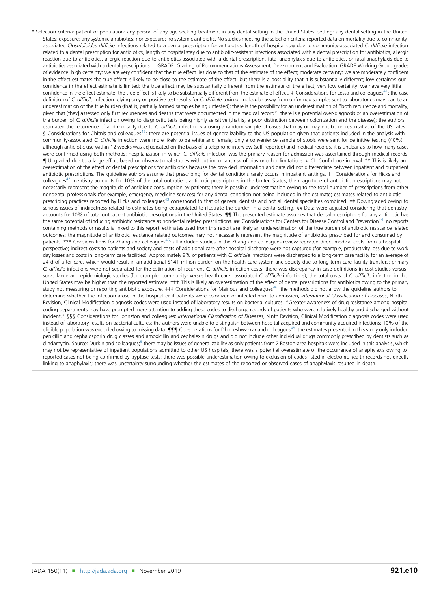<span id="page-25-0"></span>\* Selection criteria: patient or population: any person of any age seeking treatment in any dental setting in the United States; setting: any dental setting in the United States; exposure: any systemic antibiotics; nonexposure: no systemic antibiotic. No studies meeting the selection criteria reported data on mortality due to communityassociated Clostridioides difficile infections related to a dental prescription for antibiotics, length of hospital stay due to community-associated C. difficile infection related to a dental prescription for antibiotics, length of hospital stay due to antibiotic-resistant infections associated with a dental prescription for antibiotics, allergic reaction due to antibiotics, allergic reaction due to antibiotics associated with a dental prescription, fatal anaphylaxis due to antibiotics, or fatal anaphylaxis due to antibiotics associated with a dental prescriptions. † GRADE: Grading of Recommendations Assessment, Development and Evaluation. GRADE Working Group grades of evidence: high certainty: we are very confident that the true effect lies close to that of the estimate of the effect; moderate certainty: we are moderately confident in the effect estimate: the true effect is likely to be close to the estimate of the effect, but there is a possibility that it is substantially different; low certainty: our confidence in the effect estimate is limited: the true effect may be substantially different from the estimate of the effect; very low certainty: we have very little confidence in the effect estimate: the true effect is likely to be substantially different from the estimate of effect. ‡ Considerations for Lessa and colleagues<sup>[41](#page-15-0)</sup>: the case definition of C. difficile infection relying only on positive test results for C. difficile toxin or molecular assay from unformed samples sent to laboratories may lead to an underestimation of the true burden (that is, partially formed samples being untested); there is the possibility for an underestimation of "both recurrence and mortality, given that [they] assessed only first recurrences and deaths that were documented in the medical record"; there is a potential over-diagnosis or an overestimation of the burden of C. difficile infection owing to diagnostic tests being highly sensitive (that is, a poor distinction between colonization and the disease); the authors estimated the recurrence of and mortality due to C. difficile infection via using a random sample of cases that may or may not be representative of the US rates. § Considerations for Chitnis and colleagues<sup>42</sup>: there are potential issues of generalizability to the US population given that patients included in the analysis with community-associated C. difficile infection were more likely to be white and female; only a convenience sample of stools were sent for definitive testing (40%); although antibiotic use within 12 weeks was adjudicated on the basis of a telephone interview (self-reported) and medical records, it is unclear as to how many cases were confirmed using both methods; hospitalization in which C. difficile infection was the primary reason for admission was ascertained through medical records. { Upgraded due to a large effect based on observational studies without important risk of bias or other limitations. # CI: Confidence interval. \*\* This is likely an overestimation of the effect of dental prescriptions for antibiotics because the provided information and data did not differentiate between inpatient and outpatient antibiotic prescriptions. The guideline authors assume that prescribing for dental conditions rarely occurs in inpatient settings. †† Considerations for Hicks and colleagues<sup>[43](#page-15-0)</sup>: dentistry accounts for 10% of the total outpatient antibiotic prescriptions in the United States; the magnitude of antibiotic prescriptions may not necessarily represent the magnitude of antibiotic consumption by patients; there is possible underestimation owing to the total number of prescriptions from other nondental professionals (for example, emergency medicine services) for any dental condition not being included in the estimate; estimates related to antibiotic prescribing practices reported by Hicks and colleagues<sup>43</sup> correspond to that of general dentists and not all dental specialties combined. ## Downgraded owing to serious issues of indirectness related to estimates being extrapolated to illustrate the burden in a dental setting. §§ Data were adjusted considering that dentistry accounts for 10% of total outpatient antibiotic prescriptions in the United States.  $\P\P$  The presented estimate assumes that dental prescriptions for any antibiotic has the same potential of inducing antibiotic resistance as nondental related prescriptions. ## Considerations for Centers for Disease Control and Prevention<sup>[44](#page-15-0)</sup>: no reports containing methods or results is linked to this report; estimates used from this report are likely an underestimation of the true burden of antibiotic resistance related outcomes; the magnitude of antibiotic resistance related outcomes may not necessarily represent the magnitude of antibiotics prescribed for and consumed by patients. \*\*\* Considerations for Zhang and colleagues<sup>45</sup>: all included studies in the Zhang and colleagues review reported direct medical costs from a hospital perspective; indirect costs to patients and society and costs of additional care after hospital discharge were not captured (for example, productivity loss due to work day losses and costs in long-term care facilities). Approximately 9% of patients with C. difficile infections were discharged to a long-term care facility for an average of 24 d of after-care, which would result in an additional \$141 million burden on the health care system and society due to long-term care facility transfers; primary C. difficile infections were not separated for the estimation of recurrent C. difficile infection costs; there was discrepancy in case definitions in cost studies versus surveillance and epidemiologic studies (for example, community- versus health care-associated C. difficile infections); the total costs of C. difficile infection in the United States may be higher than the reported estimate. ††† This is likely an overestimation of the effect of dental prescriptions for antibiotics owing to the primary study not measuring or reporting antibiotic exposure.  $\pm \pm \pm$  Considerations for Mainous and colleagues<sup>[46](#page-15-0)</sup>: the methods did not allow the quideline authors to determine whether the infection arose in the hospital or if patients were colonized or infected prior to admission, International Classification of Diseases, Ninth Revision, Clinical Modification diagnosis codes were used instead of laboratory results on bacterial cultures; "Greater awareness of drug resistance among hospital coding departments may have prompted more attention to adding these codes to discharge records of patients who were relatively healthy and discharged without incident." §§§ Considerations for Johnston and colleagues: International Classification of Diseases, Ninth Revision, Clinical Modification diagnosis codes were used instead of laboratory results on bacterial cultures; the authors were unable to distinguish between hospital-acquired and community-acquired infections; 10% of the eligible population was excluded owing to missing data.  $\P\P\P$  Considerations for Dhopeshwarkar and colleagues<sup>48</sup>: the estimates presented in this study only included penicillin and cephalosporin drug classes and amoxicillin and cephalexin drugs and did not include other individual drugs commonly prescribed by dentists such as clindamycin. Source: Durkin and colleagues;<sup>[6](#page-14-0)</sup> there may be issues of generalizability as only patients from 2 Boston-area hospitals were included in this analysis, which may not be representative of inpatient populations admitted to other US hospitals; there was a potential overestimate of the occurrence of anaphylaxis owing to reported cases not being confirmed by tryptase tests; there was possible underestimation owing to exclusion of codes listed in electronic health records not directly linking to anaphylaxis; there was uncertainty surrounding whether the estimates of the reported or observed cases of anaphylaxis resulted in death.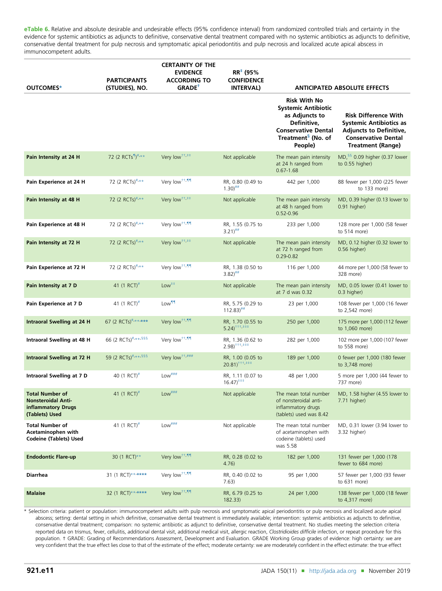<span id="page-26-0"></span>eTable 6. Relative and absolute desirable and undesirable effects (95% confidence interval) from randomized controlled trials and certainty in the evidence for systemic antibiotics as adjuncts to definitive, conservative dental treatment compared with no systemic antibiotics as adjuncts to definitive, conservative dental treatment for pulp necrosis and symptomatic apical periodontitis and pulp necrosis and localized acute apical abscess in immunocompetent adults.

| OUTCOMES*                                                                                   | <b>PARTICIPANTS</b><br>(STUDIES), NO. | <b>CERTAINTY OF THE</b><br><b>EVIDENCE</b><br><b>ACCORDING TO</b><br>GRADE <sup>+</sup> | $RR^{\pm}$ (95%<br><b>CONFIDENCE</b><br><b>INTERVAL)</b> | <b>ANTICIPATED ABSOLUTE EFFECTS</b>                                                                                                                           |                                                                                                                                                           |
|---------------------------------------------------------------------------------------------|---------------------------------------|-----------------------------------------------------------------------------------------|----------------------------------------------------------|---------------------------------------------------------------------------------------------------------------------------------------------------------------|-----------------------------------------------------------------------------------------------------------------------------------------------------------|
|                                                                                             |                                       |                                                                                         |                                                          | <b>Risk With No</b><br><b>Systemic Antibiotic</b><br>as Adjuncts to<br>Definitive,<br><b>Conservative Dental</b><br>Treatment <sup>§</sup> (No. of<br>People) | <b>Risk Difference With</b><br><b>Systemic Antibiotics as</b><br><b>Adjuncts to Definitive,</b><br><b>Conservative Dental</b><br><b>Treatment (Range)</b> |
| Pain Intensity at 24 H                                                                      | 72 (2 RCTs <sup>1)#,**</sup>          | Very low <sup><math>^{++}</math>##</sup>                                                | Not applicable                                           | The mean pain intensity<br>at 24 h ranged from<br>$0.67 - 1.68$                                                                                               | MD, $$6$ 0.09 higher (0.37 lower<br>to 0.55 higher)                                                                                                       |
| Pain Experience at 24 H                                                                     | 72 (2 RCTs)#,**                       | Very low <sup>††,¶¶</sup>                                                               | RR, 0.80 (0.49 to<br>$1.30$ <sup><math>\#</math>#</sup>  | 442 per 1,000                                                                                                                                                 | 88 fewer per 1,000 (225 fewer<br>to 133 more)                                                                                                             |
| Pain Intensity at 48 H                                                                      | 72 (2 RCTs)#,**                       | Very low <sup>++,‡‡</sup>                                                               | Not applicable                                           | The mean pain intensity<br>at 48 h ranged from<br>$0.52 - 0.96$                                                                                               | MD, 0.39 higher (0.13 lower to<br>0.91 higher)                                                                                                            |
| Pain Experience at 48 H                                                                     | 72 (2 RCTs)#,**                       | Very low <sup>++,¶¶</sup>                                                               | RR, 1.55 (0.75 to<br>$3.21$ <sup>##</sup>                | 233 per 1,000                                                                                                                                                 | 128 more per 1,000 (58 fewer<br>to 514 more)                                                                                                              |
| Pain Intensity at 72 H                                                                      | 72 (2 RCTs)#,**                       | Very low <sup>++</sup> . <sup>‡‡</sup>                                                  | Not applicable                                           | The mean pain intensity<br>at 72 h ranged from<br>$0.29 - 0.82$                                                                                               | MD, 0.12 higher (0.32 lower to<br>$0.56$ higher)                                                                                                          |
| Pain Experience at 72 H                                                                     | 72 (2 RCTs)#,**                       | Very low <sup>++, 11</sup>                                                              | RR, 1.38 (0.50 to<br>$3.82)$ <sup>##</sup>               | 116 per 1,000                                                                                                                                                 | 44 more per 1,000 (58 fewer to<br>328 more)                                                                                                               |
| Pain Intensity at 7 D                                                                       | 41 (1 RCT) <sup>#</sup>               | $Low++$                                                                                 | Not applicable                                           | The mean pain intensity<br>at 7 d was 0.32                                                                                                                    | MD, 0.05 lower (0.41 lower to<br>0.3 higher)                                                                                                              |
| Pain Experience at 7 D                                                                      | 41 (1 RCT) <sup>#</sup>               | Low <sup>11</sup>                                                                       | RR, 5.75 (0.29 to<br>$112.83$ <sup>##</sup>              | 23 per 1,000                                                                                                                                                  | 108 fewer per 1,000 (16 fewer<br>to 2,542 more)                                                                                                           |
| Intraoral Swelling at 24 H                                                                  | 67 (2 RCTs) <sup>#</sup> ******       | Very low <sup>++,¶¶</sup>                                                               | RR, 1.70 (0.55 to<br>$5.24$ <sup>+++</sup> , $***$       | 250 per 1,000                                                                                                                                                 | 175 more per 1,000 (112 fewer<br>to 1,060 more)                                                                                                           |
| Intraoral Swelling at 48 H                                                                  | 66 (2 RCTs)#,**, \$\$\$               | Very low <sup>++, 11</sup>                                                              | RR, 1.36 (0.62 to<br>$2.98$ <sup>+++</sup> , $*$         | 282 per 1,000                                                                                                                                                 | 102 more per 1,000 (107 fewer<br>to 558 more)                                                                                                             |
| Intraoral Swelling at 72 H                                                                  | 59 (2 RCTs)#,**,§§§                   | Very low <sup>++,###</sup>                                                              | RR, 1.00 (0.05 to<br>$20.81$ <sup>+++</sup> , ***        | 189 per 1,000                                                                                                                                                 | 0 fewer per 1,000 (180 fewer<br>to 3,748 more)                                                                                                            |
| Intraoral Swelling at 7 D                                                                   | 40 (1 RCT) <sup>#</sup>               | $Low$ ###                                                                               | RR, 1.11 (0.07 to<br>$16.47$ <sup>****</sup>             | 48 per 1,000                                                                                                                                                  | 5 more per 1,000 (44 fewer to<br>737 more)                                                                                                                |
| <b>Total Number of</b><br><b>Nonsteroidal Anti-</b><br>inflammatory Drugs<br>(Tablets) Used | 41 (1 RCT) <sup>#</sup>               | $Low***$                                                                                | Not applicable                                           | The mean total number<br>of nonsteroidal anti-<br>inflammatory drugs<br>(tablets) used was 8.42                                                               | MD, 1.58 higher (4.55 lower to<br>$7.71$ higher)                                                                                                          |
| <b>Total Number of</b><br>Acetaminophen with<br><b>Codeine (Tablets) Used</b>               | 41 (1 RCT) <sup>#</sup>               | $Low$ ###                                                                               | Not applicable                                           | The mean total number<br>of acetaminophen with<br>codeine (tablets) used<br>was 5.58                                                                          | MD, 0.31 lower (3.94 lower to<br>3.32 higher)                                                                                                             |
| <b>Endodontic Flare-up</b>                                                                  | 30 (1 RCT)**                          | Very low <sup>††, ¶¶</sup>                                                              | RR, 0.28 (0.02 to<br>4.76)                               | 182 per 1,000                                                                                                                                                 | 131 fewer per 1,000 (178<br>fewer to 684 more)                                                                                                            |
| <b>Diarrhea</b>                                                                             | 31 (1 RCT)******                      | Very low <sup>++,qq</sup>                                                               | RR, 0.40 (0.02 to<br>7.63)                               | 95 per 1,000                                                                                                                                                  | 57 fewer per 1,000 (93 fewer<br>to 631 more)                                                                                                              |
| <b>Malaise</b>                                                                              | 32 (1 RCT)******                      | Very low <sup>++,¶¶</sup>                                                               | RR, 6.79 (0.25 to<br>182.33)                             | 24 per 1,000                                                                                                                                                  | 138 fewer per 1,000 (18 fewer<br>to 4,317 more)                                                                                                           |

\* Selection criteria: patient or population: immunocompetent adults with pulp necrosis and symptomatic apical periodontitis or pulp necrosis and localized acute apical abscess; setting: dental setting in which definitive, conservative dental treatment is immediately available; intervention: systemic antibiotics as adjuncts to definitive, conservative dental treatment; comparison: no systemic antibiotic as adjunct to definitive, conservative dental treatment. No studies meeting the selection criteria reported data on trismus, fever, cellulitis, additional dental visit, additional medical visit, allergic reaction, Clostridioides difficile infection, or repeat procedure for this population. † GRADE: Grading of Recommendations Assessment, Development and Evaluation. GRADE Working Group grades of evidence: high certainty: we are very confident that the true effect lies close to that of the estimate of the effect; moderate certainty: we are moderately confident in the effect estimate: the true effect